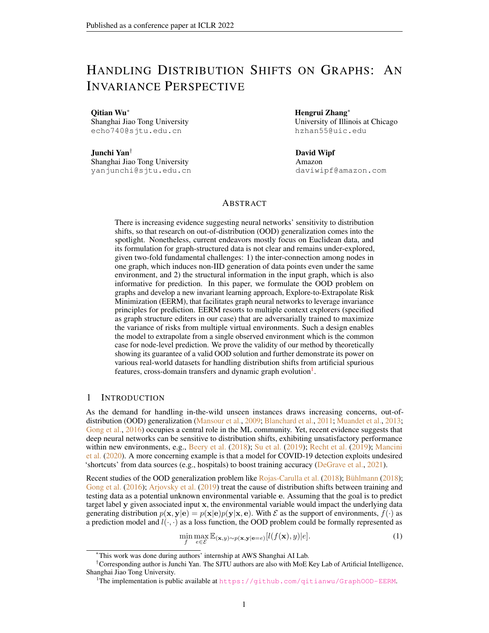# HANDLING DISTRIBUTION SHIFTS ON GRAPHS: AN INVARIANCE PERSPECTIVE

Qitian Wu<sup>∗</sup> Shanghai Jiao Tong University echo740@sjtu.edu.cn

Junchi Yan† Shanghai Jiao Tong University yanjunchi@sjtu.edu.cn

Hengrui Zhang<sup>∗</sup> University of Illinois at Chicago hzhan55@uic.edu

David Wipf Amazon daviwipf@amazon.com

## ABSTRACT

There is increasing evidence suggesting neural networks' sensitivity to distribution shifts, so that research on out-of-distribution (OOD) generalization comes into the spotlight. Nonetheless, current endeavors mostly focus on Euclidean data, and its formulation for graph-structured data is not clear and remains under-explored, given two-fold fundamental challenges: 1) the inter-connection among nodes in one graph, which induces non-IID generation of data points even under the same environment, and 2) the structural information in the input graph, which is also informative for prediction. In this paper, we formulate the OOD problem on graphs and develop a new invariant learning approach, Explore-to-Extrapolate Risk Minimization (EERM), that facilitates graph neural networks to leverage invariance principles for prediction. EERM resorts to multiple context explorers (specified as graph structure editers in our case) that are adversarially trained to maximize the variance of risks from multiple virtual environments. Such a design enables the model to extrapolate from a single observed environment which is the common case for node-level prediction. We prove the validity of our method by theoretically showing its guarantee of a valid OOD solution and further demonstrate its power on various real-world datasets for handling distribution shifts from artificial spurious features, cross-domain transfers and dynamic graph evolution<sup>[1](#page-0-0)</sup>.

## 1 INTRODUCTION

As the demand for handling in-the-wild unseen instances draws increasing concerns, out-ofdistribution (OOD) generalization [\(Mansour et al.,](#page-10-0) [2009;](#page-10-0) [Blanchard et al.,](#page-9-0) [2011;](#page-9-0) [Muandet et al.,](#page-11-0) [2013;](#page-11-0) [Gong et al.,](#page-10-1) [2016\)](#page-10-1) occupies a central role in the ML community. Yet, recent evidence suggests that deep neural networks can be sensitive to distribution shifts, exhibiting unsatisfactory performance within new environments, e.g., [Beery et al.](#page-9-1) [\(2018\)](#page-9-1); [Su et al.](#page-11-1) [\(2019\)](#page-11-2); [Recht et al.](#page-11-2) (2019); [Mancini](#page-10-2) [et al.](#page-10-2) [\(2020\)](#page-10-2). A more concerning example is that a model for COVID-19 detection exploits undesired 'shortcuts' from data sources (e.g., hospitals) to boost training accuracy [\(DeGrave et al.,](#page-10-3) [2021\)](#page-10-3).

Recent studies of the OOD generalization problem like [Rojas-Carulla et al.](#page-11-3) [\(2018\)](#page-9-2); [Bühlmann](#page-9-2) (2018); [Gong et al.](#page-10-1) [\(2016\)](#page-10-1); [Arjovsky et al.](#page-9-3) [\(2019\)](#page-9-3) treat the cause of distribution shifts between training and testing data as a potential unknown environmental variable e. Assuming that the goal is to predict target label y given associated input x, the environmental variable would impact the underlying data generating distribution  $p(x, y|e) = p(x|e)p(y|x, e)$ . With  $\mathcal E$  as the support of environments,  $f(\cdot)$  as a prediction model and  $l(\cdot, \cdot)$  as a loss function, the OOD problem could be formally represented as

<span id="page-0-1"></span>
$$
\min_{f} \max_{e \in \mathcal{E}} \mathbb{E}_{(\mathbf{x}, y) \sim p(\mathbf{x}, \mathbf{y} | \mathbf{e} = e)} [l(f(\mathbf{x}), y)|e]. \tag{1}
$$

<sup>∗</sup>This work was done during authors' internship at AWS Shanghai AI Lab.

<sup>†</sup>Corresponding author is Junchi Yan. The SJTU authors are also with MoE Key Lab of Artificial Intelligence, Shanghai Jiao Tong University.

<span id="page-0-0"></span><sup>1</sup>The implementation is public available at <https://github.com/qitianwu/GraphOOD-EERM>.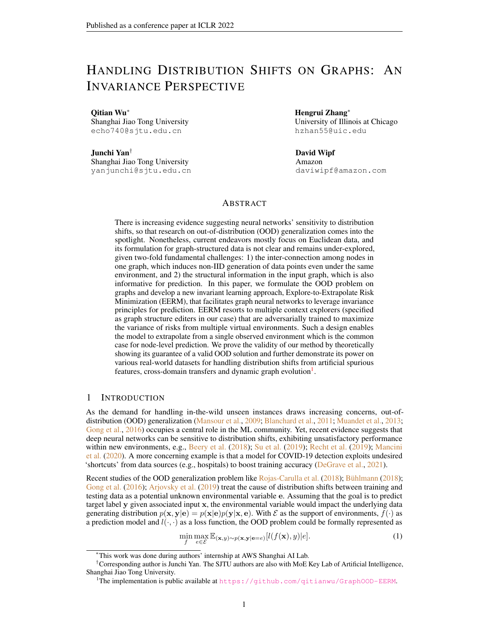Such a problem is hard to solve since the observations in training data cannot cover all the environments in practice. Namely, the actual demand is to generalize a model trained with data from  $p(x, y|e = e_1)$  to new data from  $p(x, y|e = e_2)$ . Recent research opens a new possibility via learning domain-invariant models [\(Arjovsky et al.,](#page-9-3) [2019\)](#page-9-3) under a cornerstone data-generating assumption: there exists a portion of information in x that is invariant for prediction on y across different environments. Based on this, the key idea is to learn a *equipredictive* representation model h that gives rise to equal conditional distribution  $p(y|h(\mathbf{x}), \mathbf{e} = e)$  for  $\forall e \in \mathcal{E}$ . The implication is that such a representation  $h(\mathbf{x})$  will bring up equally (optimal) performance for a downstream classifier under arbitrary environments. The model  $\hat{p}(y|x)$  with such a property is called as invariant model/predictor. Several up-to-date studies develop new objective designs and algorithms for learning invariant models, showing promising power for tackling OOD generalization [\(Chang et al.,](#page-9-4) [2020;](#page-9-4) [Ahuja et al.,](#page-9-5) [2020;](#page-9-5) [Krueger et al.,](#page-10-4) [2021;](#page-10-4) [Liu et al.,](#page-10-5) [2021;](#page-10-5) [Creager et al.,](#page-9-6) [2021;](#page-9-6) [Koyama & Yamaguchi,](#page-10-6) [2021\)](#page-10-6).

While the OOD problem is extensively explored on Euclidean data (e.g., images), there are few existing works investigating the problem concerning graph-structured data, despite that distribution shifts widely exist in real-world graphs. For instance, in citation networks, the distributions for paper citations (the input) and subject areas/topics (the label) would go through significant change as time goes by [\(Hu et al.,](#page-10-7) [2020\)](#page-10-7). In social networks, the distributions for users' friendships (the input) and their activity (the label) would highly depend on when/where the networks are collected [\(Fakhraei](#page-10-8) [et al.,](#page-10-8) [2015\)](#page-10-8). In financial networks [\(Pareja et al.,](#page-11-4) [2020\)](#page-11-4), the payment flows between transactions (the input) and the appearance of illicit transactions (the label) would have strong correlation with some external contextual factors (like time and market). In these cases, neural models built on graph-structured data, particularly, Graph Neural Networks (GNNs) which are the common choice, need to effectively deal with OOD data during test time. Moreover, as GNNs have become popular and easy-to-implement tools for modeling relational structures in broad AI areas (vision, texts, audio, etc.), enhancing its robustness to distribution shifts is a pain point for building general AI systems, especially applied to high-stake applications like autonomous driving [\(Dai & Gool,](#page-10-9) [2018\)](#page-10-9), medical diagnosis [\(AlBadawy et al.,](#page-9-7) [2018\)](#page-9-7), criminal justice [\(Berk et al.,](#page-9-8) [2018\)](#page-9-8), etc.

Nonetheless, compared with images or texts, graph-structured data has two fundamental differences. First, many graph-related problems (like the situations mentioned above) involve prediction tasks for each individual node, in which case the data points are inter-connected via graph structure that induces non-independent and non-identically distributed nature in data generation even within the same environment. Second, apart from node features, the structural information also plays a role for prediction and would affect how the model generalizes under environment variation. These differences bring up unique technical challenges for handling distribution shifts on graphs.

In this paper, we endeavor to 1) formulate the OOD problem for node-level tasks on graphs, 2) develop a new learning approach based on an invariance principle, 3) provide theoretical results to dissect its rationale, and 4) design comprehensive experiments to show its practical efficacy. Concretely:

1. To accommodate the non-IID nature of nodes in a graph, we fragment a graph into a set of ego-graphs for centered nodes and decompose the data-generating process into: 1) sampling a whole input graph and 2) sampling each node's label conditioned on ego-graph. Based on this, we can inherit the spirit of Eq. [1](#page-0-1) to formulate the OOD problem for node-level tasks over graphs (see Section [2.1\)](#page-2-0).

2. To account for structural information, we extend the invariance principle with recursive computation on the induced BFS trees of ego-graphs. Then, for out-of-distribution generalization on graphs, we devise a new learning approach, entitled *Explore-to-Extrapolate Risk Minimization*, that aims GNNs at minimizing the mean and variance of risks from multiple environments that are simulated by adversarial context generators (i.e., graph editers), as shown in Fig. [1\(](#page-2-1)a) (see Section [2.2](#page-3-0) and [3\)](#page-3-1).

3. To shed more insights on the rationales of the proposed approach and its relationship with the formulated OOD problem, we prove that our objective can guarantee a valid solution for the formulated OOD problem given some mild conditions and furthermore, an upper bound on the OOD error can be effectively controlled when minimizing the training error (see Section [4\)](#page-4-0).

4. To evaluate the approach, we design a comprehensive set of experiments on diverse real-world nodelevel prediction datasets that entail distribution shifts from artificial spurious features, cross-domain transfers and dynamic graph evolution. We also apply our approach to distinct GNN backbones (GCN, GAT, GraphSAGE, GCNII and GPRGNN), and the results show that it consistently outperforms standard empirical risk minimization with promising improvements on OOD data (see Section [5\)](#page-5-0).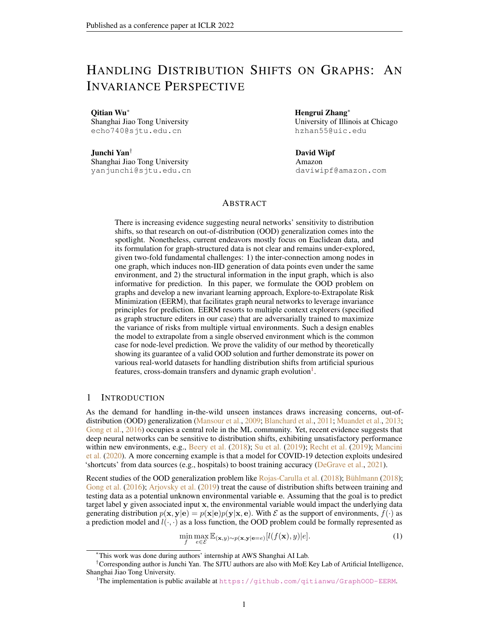<span id="page-2-1"></span>

Figure 1: (a) The proposed approach *Explore-to-Extrapolate Risk Minimization* which entails K context generators that generate graph data of different (virtual) environments based on input data from a single (real) environment. The GNN model is updated via gradient descent to minimize a weighted combination of mean and variance of risks from different environments, while the context generators are updated via REINFORCE to maximize the variance loss. (b) Illustration for our Assumption [1.](#page-3-2) (c) The dependence among variables in the motivating example in Section [3.1.](#page-3-3)

## 2 PROBLEM FORMULATION

In this section, we present our formulation for the OOD problem on graphs. All the random variables are denoted as bold letters while the corresponding realizations are denoted as thin letters.

#### <span id="page-2-0"></span>2.1 OUT-OF-DISTRIBUTION PROBLEM FOR GRAPH-STRUCTURED DATA

An input graph  $G = (A, X)$  contains two-fold information<sup>[2](#page-2-2)</sup>: an adjacency matrix  $A = \{a_{vu}|v, u \in$ V } and node features  $X = \{x_v | v \in V\}$  where V denotes node set. Apart from these, each node in the graph has a label, which can be represented as a vector  $Y = \{y_v | v \in V\}$ . We define G as a random variable of input graphs and  $Y$  as a random variable of node label vectors. Such a definition takes a global view and treat the input graph as a whole. Based on this, one can adapt the definition of general OOD problem Eq. [1](#page-0-1) via instantiating the input as  $G$  and the target as  $Y$ , and then the data generation can be characterized as  $p(G, Y|e) = p(G|e)p(Y|G, e)$  where e is a random variable of environments that is a latent variable and impacts data distribution.

However, the above definition makes little sense in node-level problems where in most cases there is a single input graph that contains a massive number of nodes. To make the problem-solving reasonable, we instead take a local view and investigate each node's ego-graph that has influence on the centered node. Assume v as a random variable of nodes. We define node v's L-hop neighbors as  $N_v$  (where L is an arbitrary integer) and the nodes in  $N_v$  form an ego-graph  $G_v$  which consists of a (local) node feature matrix  $X_v = \{x_u | u \in N_v\}$  and a (local) adjacency matrix  $A_v = \{a_{uw} | u, w \in N_v\}$ . Use  $G_v$  as a random variable of ego-graphs<sup>[3](#page-2-3)</sup> whose realization is  $G_v = (A_v, X_v)$ . Besides, we define y as a random variable of node labels. In this way, we can fragment a whole graph as a set of instances  $\{(G_v, y_v)\}_{v\in V}$  where  $G_v$  denotes an input and  $y_v$  is a target. Notice that the ego-graph can be seen as a Markov blanket for the centered node, so the conditional distribution  $p(Y|G, e)$  can be decomposed as a product of |V| independent and identical marginal distributions  $p(y|G_v, e)$ .

Therefore, the data generation of  $\{(G_v, y_v)\}_{v\in V}$  from a distribution  $p(\mathbf{G}, \mathbf{Y}|\mathbf{e})$  can be considered as a two-step procedure: 1) the entire input graph is generated via  $G \sim p(\mathbf{G}|\mathbf{e})$  which can then be fragmented into a set of ego-graphs  $\{G_v\}_{v\in V}$ ; 2) each node's label is generated via  $y \sim p(y)G_v =$  $G_v$ , e). Then the OOD node-level prediction problem can be formulated as: given training data  ${G_v, y_v}_{v \in V}$  from  $p(\mathbf{G}, \mathbf{Y}|\mathbf{e} = e)$ , the model needs to handle testing data  ${G_v, y_v}_{v \in V^0}$  from a new distribution  $p(G, Y | e = e')$ . Denote  $\mathcal E$  as the support of environments, f as a predictor model with  $\hat{y} = f(G_v)$  and  $l(\cdot, \cdot)$  as a loss function. More formally, the OOD problem can be written as:

<span id="page-2-4"></span>
$$
\min_{f} \max_{e \in \mathcal{E}} \mathbb{E}_{G \sim p(\mathbf{G}|\mathbf{e}=e)} \frac{1}{|V|} \sum_{v \in V}^{\times} \mathbb{E}_{y \sim p(\mathbf{y}|\mathbf{G}_{\mathbf{v}}=G_{V}, \mathbf{e}=e)} [l(f(G_{v}), y)] \quad . \tag{2}
$$

We remark that the first-step sampling  $G \sim p(\mathbf{G}|\mathbf{e} = e)$  can be ignored since in most cases one only has a single input graph in the context of node-level prediction tasks.

<span id="page-2-3"></span><span id="page-2-2"></span> $2$ Our formulation and method can be trivially extended to cover edge features which we omit here for brevity. <sup>3</sup>We use a subscript  $\vee$  here to remind that it is an ego-graph from the view of a target node.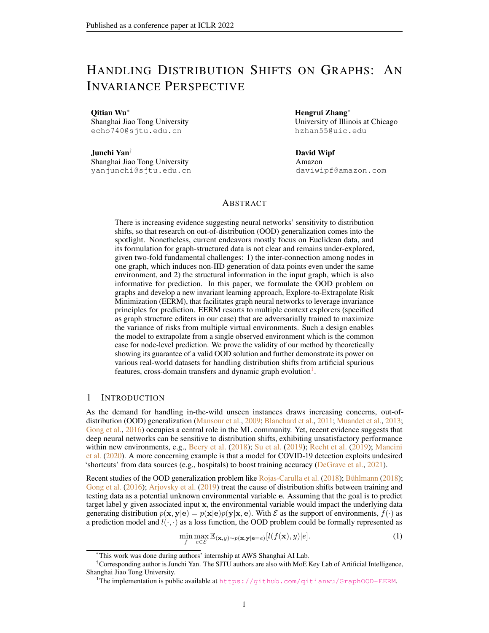#### <span id="page-3-0"></span>2.2 INVARIANT FEATURES FOR NODE-LEVEL PREDICTION ON GRAPHS

To solve the OOD problem Eq. [2](#page-2-4) is impossible without any prior domain knowledge or structural assumptions since one only has access to data from limited environments in the training set. Recent studies [\(Rojas-Carulla et al.,](#page-11-3) [2018;](#page-11-3) [Arjovsky et al.,](#page-9-3) [2019\)](#page-9-3) propose to learn invariant predictor models which resorts to an assumption for data-generating process: the input instance contains a portion of features (i.e., invariant features) that 1) contributes to sufficient predictive information for the target and 2) gives rise to equally (optimal) performance of the downstream classifier across environments.

<span id="page-3-2"></span>With our definition in Section [2.1,](#page-2-0) for node-level prediction on graphs, each input instance is an ego-graph  $G_v$  with target label  $y_v$ . It seems not straightforward for *how to define invariant features on graphs* given two observations: 1) the ego-graph possesses a hierarchical structure for associated nodes (i.e.,  $G_v$  induces a BFS tree rooted at v where the *l*-th layer contains the *l*-order neighbored nodes  $N_v^{(l)}$ ) and 2) the nodes in each layer are permutation-invariant and variable-length. Inspired by WL test [Weisfeiler & Lehman](#page-11-5) [\(1968\)](#page-11-5), we extend the invariance assumption [\(Rojas-Carulla et al.,](#page-11-3) [2018;](#page-11-3) [Gong et al.,](#page-10-1) [2016;](#page-10-1) [Arjovsky et al.,](#page-9-3) [2019\)](#page-9-3) to accommodate structural information in graph data:  ${\bf A}$ ssumption  ${\bf 1.}$  *(Invariance Property) Assume input feature dimension as*  $d_0$ *. There exists a sequence* of (non-linear) functions  $\{h_l^*\}_{l=0}^L$  where  $h_l^*: \mathbb{R}^{d_0} \to \mathbb{R}^d$  and a permutation-invariant function  $\Gamma: \R^{d^m} \to \R^d$ , which gives a node-level readout  $r_v = r_v^{(L)}$  that is calculated in a recursive way:  $r_u^{(l)} \, = \, \Gamma\{r_w^{(l-1)} | w \, \in \, N_u^{(1)} \cup \{u\}\}$  for  $l \, = \, 1, \cdots, L$  and  $r_u^{(0)} \, = \, h_l^*(x_u)$  if  $u \, \in \, N_v^{(l)}$ . Denote  ${\bf r}$ *as a random variable of*  $r_v$  *and it satisfies 1) (Invariance condition):*  $p(\mathbf{y}|\mathbf{r},\mathbf{e})=p(\mathbf{y}|\mathbf{r})$ *, and 2) (Sufficiency condition):*  $y = c^*(r) + n$ , where  $c^*$  is a non-linear function, n is an independent noise.

A more intuitive illustration for the above computation is presented in Fig. [1\(](#page-2-1)b). The node-level readout  $r_v$  aggregates the information from neighbored nodes recursively along the structures of BFS tree given by  $G_v$ . Essentially, the above definition assumes that in each layer the neighbored nodes contain a portion of causal features that contribute to stable prediction for y across different e. Such a definition possesses two merits: 1) the (non-linear) transformation  $h_l^*$  can be different across layers, and 2) for arbitrary node u in the original graph  $G$ , its causal effect on distinct centered nodes v could be different dependent on its relative position in the ego-graph  $G_v$ . Therefore, this formulation gives rise to enough flexibility and capacity for modeling on graph data.

## <span id="page-3-1"></span>3 METHODOLOGY

We next present our solution for the challenging OOD problem. Before going into the formal method, we first introduce a motivating example based on Assumption [1](#page-3-2) to provide some high-level intuition.

#### <span id="page-3-3"></span>3.1 MOTIVATING EXAMPLE

We consider a linear toy example and assume 1-layer graph convolution for illustration. Namely, the ego-graph  $G_v$  (and  $N_v$ ) only contains the centered node and its 1-hop neighbors. We simplify the  $h^*$ and  $c^*$  in Assumption [1](#page-3-2) as identity mappings and instantiate  $\Gamma$  as a mean pooling function. Then we assume 2-dim node features  $x_v = [x_v^1, x_v^2]$  and

$$
y_v = \frac{1}{|N_v|} \frac{\times}{u \in N_v} x_u^1 + n_v^1, \quad x_v^2 = \frac{1}{|N_v|} \frac{\times}{u \in N_v} y_u + n_v^2 + \epsilon,
$$
 (3)

where  $n_v^1$  and  $n_v^2$  are independent standard normal noise and  $\epsilon$  is a random variable with zero mean and non-zero variance dependent on environment  $e$ . In Fig.  $1(c)$  $1(c)$  we show the dependency among these random variables in a graphical representation and instantiate them in an example of citation networks, where a paper's published avenue is an invariant feature for predicting the paper's sub-area while its citation index (a spurious feature) is affected by both the label and the environment.

Based on this, we consider a vanilla GCN as the predictor model  $\hat{y}_v = \frac{1}{|N_v|}$   $\big|_{u \in N_v} \theta_1 x_u^1 + \theta_2 x_u^2$ . Then the ideal solution for the predictor model is  $[\theta_1, \theta_2] = [1, 0]$ . This indicates that the GCN identifies the invariant feature, i.e.,  $x_v^1$  insensitive to environment changes. However, here we show a negative result when using standard empirical risk minimization.

<span id="page-3-4"></span> $\bf{Proposition~1.}$  Let the risk under environment  $e$  be  $R(e)=\frac{1}{|V|}$   $\int_{v\in V}\mathbb{E}_{\bf y|{\bf G_v}=G_v}[\|\hat{y}_v-y_v\|_2^2]$ . The *unique optimal solution for objective*  $\min_{\theta} \mathbb{E}_{\mathbf{e}}[R(e)]$  *would be*  $[\theta_1,\theta_2]=[\frac{1+\sigma_e^2}{2+\sigma_e^2},\frac{1}{2+\sigma_e^2}]$  *where*  $\sigma_e>0$ *denotes the standard deviation of across environments.*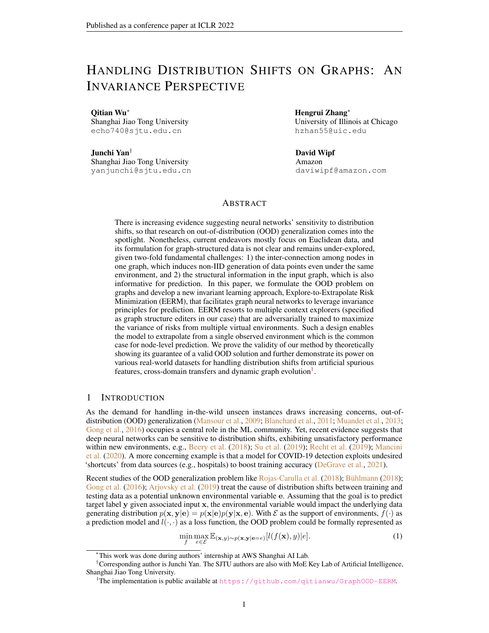This indicates that directly minimizing the expectation of risks across environments would inevitably lead the model to rely on spurious correlation  $(x_v^2)$  depends on environments). Also, such a reliance would be strengthened with smaller  $\sigma_e$ , i.e., when there is less uncertainty for the effect from environments. To mitigate the issue, fortunately, we can prove another result that implies a new objective as a sufficient condition for the ideal solution.

#### <span id="page-4-3"></span>**Proposition 2.** *The objective*  $\min_{\theta} \mathbb{V}_e[R(e)]$  *reaches the optimum if and only if*  $[\theta_1, \theta_2] = [1, 0]$ *.*

The new objective tackles the variance across environments and guarantees the desirable solution. The enlightenment is that if the model yields equal performance on different  $e<sup>s</sup>$ , it would manage to leverage the invariant features, which motivates us to devise a new objective for solving Eq. [2.](#page-2-4)

#### 3.2 STABLE LEARNING WITH EXPLORE-TO-EXTRAPOLATE RISK MINIMIZATION

We now return to the general case where we have  $\{(G_v, y_v)\}\)$  for training and leverage a GNN model as the predictor:  $\hat{y}_v = f_\theta(G_v)$ . The intuition in Section [3.1](#page-3-3) implies a new learning objective:

<span id="page-4-1"></span>
$$
\min_{\theta} \mathbb{V}_{\mathbf{e}}[L(G^e, Y^e; \theta)] + \beta \mathbb{E}_{\mathbf{e}}[L(G^e, Y^e; \theta)],\tag{4}
$$

where  $L(G^e, Y^e; \theta) = \frac{1}{|V_e|}^{-1}$   $v \in V_e$   $l(f_\theta(G^e_v), y^e_v)$  and  $\beta$  is a trading hyper-parameter. If we have training graphs from a sufficient number of environments  $\mathcal{E}_{tr} = \{e\}$  and the correspondence of each graph to a specific  $e$ , i.e.,  $\{G^e, Y^e\}_{e \in \mathcal{E}_{tr}}$  which induces  $\{\{G^e_v, y^e_v\}_{v \in V_e} : e \in \mathcal{E}_{tr}\}$ , we can use the empirical estimation with risks from different environments to handle Eq. [4](#page-4-1) in practice, as is done by the Risk Extrapolation (REX) approach [\(Krueger et al.,](#page-10-4) [2021\)](#page-10-4). Unfortunately, as mentioned before, for node-level tasks on graphs, the training data is often a single graph (without any correspondence of nodes to environments), and hence, one only has training data from a single environment. Exceptions are some multi-graph scenarios where one can assume each graph is from an environment, but there are still a very limited number of training graphs (e.g., less than five). The objective Eq. [4](#page-4-1) would require data from diverse environments to enable the model for desirable extrapolation. To detour such a dilemma, we introduce K auxiliary context generators  $g_{w_k}(G)$   $(k = 1, \dots, K)$  that aim to generate K-fold graph data  $\{G^k\}_{k=1}^K$  (which induces  $\{\{G^k_v\}_{v\in V}:1\leq k\leq K\}$ ) based on the input one G and mimics training data from different environments. The generators are trained to maximize the variance loss so as to explore the environments and facilitate stable learning of the GNN:

$$
\min_{\theta} \text{Var}(\{L(g_{w_k}(G), Y; \theta) : 1 \le k \le K\}) + \frac{\beta}{K} \sum_{k=1}^{K} L(g_{w_k}(G), Y; \theta),
$$
\n
$$
\text{s. t. } [w_1^*, \cdots, w_K^*] = \arg \max_{w_1, \cdots, w_K} \text{Var}(\{L(g_{w_k}(G), Y; \theta) : 1 \le k \le K\}),
$$
\n
$$
w_k(G), Y; \theta) = L(G^k, Y; \theta) = \frac{1}{|V|} \bigg|_{V \in V} l(f_{\theta}(G_v^k), y_v).
$$
\n
$$
(5)
$$

One remaining problem is how to specify  $g_{w_k}(G)$ . Following recent advances in adversarial ro-bustness on graphs [\(Xu et al.,](#page-12-0) [2019;](#page-12-0) [Jin et al.,](#page-10-10) [2020\)](#page-10-10), we consider editing graph structures by adding/deleting edges. Assume a Boolean matrix  $B^k = \{0, 1\}^{N \times N}$   $(k = 1, \dots, K)$  and denote the supplement graph of A as  $\overline{A} = 11^{\top} - I - A$ , where I is an identity matrix. Then the modified graph for view k is  $A^k = A + B^k \circ (\overline{A} - A)$  where  $\circ$  denotes element-wise product. The optimization for  $B<sup>k</sup>$  is difficult due to its non-differentiability and one also needs to constrain the modification within a threshold. To handle this, we use policy gradient method REINFORCE, treating graph generation as a decision process and edge editing as actions (see details in Appendix [A\)](#page-13-0). We call our approach in Eq. [5](#page-4-2) *Explore-to-Extrapolate Risk Minimization* (EERM) and present our training algorithm in Alg. [1.](#page-13-1)

## <span id="page-4-0"></span>4 THEORETICAL DISCUSSIONS

<span id="page-4-2"></span>where  $L(g)$ 

We next present theoretical analysis to shed insights on the objective and its relationship with our formulated OOD problem in Section [2.1.](#page-2-0) To begin with, we introduce some building blocks. The GNN model f can be decomposed into an *encoder* h for representation and a *classifier* c for prediction, i.e.,  $f = c \circ h$  and we have  $z_v = h(G_v)$ ,  $\hat{y}_v = c(z_v)$ . Besides, we assume  $I(\mathbf{x}; \mathbf{y})$ stands for the mutual information between x and y and  $I(x; y|z)$  denotes the conditional mutual information given z. To keep notations simple, we define  $p_e(\cdot) = p(\cdot|\mathbf{e} = e)$  and  $I_e(\cdot) = I(\cdot|\mathbf{e} = e)$ . Another tricky point is that in computation of the KL divergence and mutual information, we require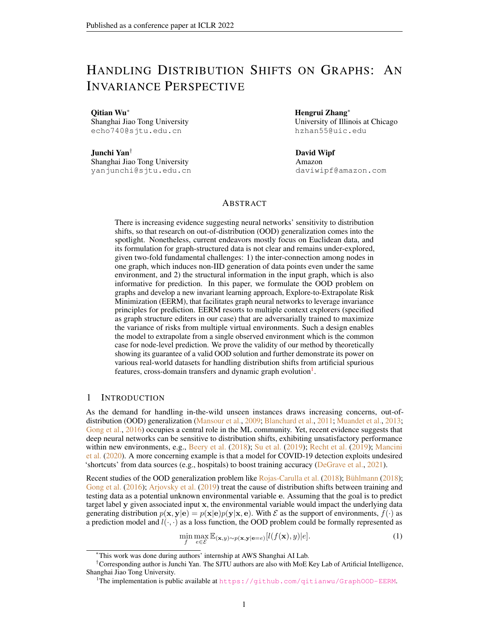the samples from the joint distribution  $p_e(G, Y)$ , which also results in difficulty for handling data generation of interconnected nodes. Therefore, we again adopt our perspective in Section [2.1](#page-2-0) and consider a two-step sampling procedure. Concretely, for any probability function  $f_1, f_2$  associated with ego-graphs  $G_v$  and node labels y, we define computation for KL divergence as

<span id="page-5-2"></span>
$$
D_{KL}(f_1(\mathbf{G_v}, \mathbf{y}) k f_2(\mathbf{G_v}, \mathbf{y})) := \mathbb{E}_{G \sim p(\mathbf{G})} \left[ \frac{1}{|V|} \sum_{v \in V} \mathbb{E}_{y_v \sim p(\mathbf{y}|\mathbf{G_v} = G_v)} \left[ \log \frac{f_1(\mathbf{G_v} = G_v, \mathbf{y} = y_v)}{f_2(\mathbf{G_v} = G_v, \mathbf{y} = y_v)} \right] \right].
$$
\n(6)

## 4.1 RELATIONSHIP BETWEEN INVARIANCE PRINCIPLE AND OOD PROBLEM

We will show that the objective Eq. [4](#page-4-1) can guarantee a valid solution for OOD problem Eq. [2.](#page-2-4) To this end, we rely on another assumption for data-generating distribution.

<span id="page-5-1"></span>Assumption 2. *(Environment Heterogeneity): For* (Gv, r) *that satisfies Assumption [1,](#page-3-2) there exists a random variable*  $\bar{\mathbf{r}}$  *such that*  $\mathbf{G_v} = m(\mathbf{r}, \bar{\mathbf{r}})$  *where* m *is a functional mapping. We assume that*  $p(\mathbf{y}|\bar{\mathbf{r}}, \mathbf{e}=e)$  *would arbitrarily change across environments*  $e \in \mathcal{E}$ .

Assumptions [1](#page-3-2) and [2](#page-5-1) essentially distill two portions of features in input data: one is domain-invariant for prediction and the other contributes to sensitive prediction that depends on environments. The GNN model  $f = c \circ h$  induces two model distributions  $q(\mathbf{z}|\mathbf{G_v})$  (by the encoder) and  $q(\mathbf{y}|\mathbf{z})$  (by the classifier). Based on this, we can dissect the effects of Eq. [4](#page-4-1) which indeed forces the representation z to satisfy the *invariance* and *sufficiency* conditions illustrated in Assumption [1.](#page-3-2)

<span id="page-5-3"></span>**Theorem 1.** If  $q(y|z)$  is treated as a variational distribution, then 1) minimizing the expectation *term in Eq. [4](#page-4-1) contributes to*  $\max_{q(\mathbf{z}|\mathbf{G_v})} I(\mathbf{y}; \mathbf{z})$ *, i.e., enforcing the sufficiency condition on*  $\mathbf{z}$  *for prediction, and 2) minimizing the variance term in Eq. [4](#page-4-1) would play a role for*  $\min_{a(\mathbf{z}|\mathbf{G_v})} I(\mathbf{y}; \mathbf{e}|\mathbf{z})$ , *i.e., enforcing the invariance condition*  $p(\mathbf{y}|\mathbf{z}, \mathbf{e}) = p(\mathbf{y}|\mathbf{z})$ *.* 

Based on these results, we can bridge the gap between the invariance principle and OOD problem.

<span id="page-5-4"></span>**Theorem 2.** Under Assumption [1](#page-3-2) and [2,](#page-5-1) if the GNN encoder  $q(\mathbf{z}|\mathbf{G_v})$  satisfies that 1)  $I(\mathbf{y};\mathbf{e}|\mathbf{z})=0$ *(invariance condition) and 2)* I(y; z) *is maximized (sufficiency condition), then the model* f <sup>∗</sup> *given by*  $\mathbb{E}_{\mathbf{v}}[\mathbf{y}|\mathbf{z}]$  *is the solution to OOD problem in Eq. [2.](#page-2-4)* 

The above results imply that the objective Eq. [4](#page-4-1) can guarantee a valid solution for the formulated OOD problem on graph-structured data, which serves as a theoretical justification for our approach.

#### 4.2 INFORMATION-THEORETIC ERROR FOR OOD GENERALIZATION

We proceed to analyze the OOD generalization error given by our learning approach. Recall that we assume training data from  $p(G, Y | e = e)$  and testing data from  $p(G, Y | e = e')$ . Following similar spirits of [Federici et al.](#page-10-11) [\(2021\)](#page-10-11), the training error and OOD generalization error can be respectively measured by  $D_{KL}(p_e({\bf y}|{\bf G_v})\|q({\bf y}|{\bf G_v}))$  and  $D_{KL}(p_{e^0}({\bf y}|{\bf G_v})\|q({\bf y}|{\bf G_v}))$  which can be calculated based on our definition in Eq. [6.](#page-5-2) Based on Theorem [1,](#page-5-3) we can arrive at the following theorem which reveals the effect of Eq. [4](#page-4-1) that contributes to tightening the bound for the OOD error.

<span id="page-5-5"></span>Theorem 3. *Optimizing Eq. [4](#page-4-1) with training data can minimize the upper bound for*  $D_{KL}(p_{e^{\varrho}}(\mathbf{y}|\mathbf{G}_{\mathbf{v}}) \| q(\mathbf{y}|\mathbf{G}_{\mathbf{v}})$  on condition that  $I_{e^{\varrho}}(\mathbf{G}_{\mathbf{v}};\mathbf{y}|\mathbf{z}) = I_e(\mathbf{G}_{\mathbf{v}};\mathbf{y}|\mathbf{z}).$ 

The condition can be satisfied once z is a sufficient representation across environments. Therefore, we have proven that the new objective could help to reduce the generalization error on out-of-distribution data and indeed enhance GNN model's power for in-the-wild extrapolation.

## <span id="page-5-0"></span>5 EXPERIMENTS

In this section, we aim to verify the effectiveness and robustness of our approach in a wide variety of tasks reflecting real situations, using different GNN backbones. Table [1](#page-6-0) summarizes the information of experimental datasets and evaluation protocols, and we provide more dataset information in Appendix [E.](#page-19-0) We compare our approach EERM with standard empirical risk minimization (ERM). Implementation details are presented in Appendix [F.](#page-22-0) In the following subsections, we will investigate three scenarios that require the model to handle distribution shifts stemming from different causes.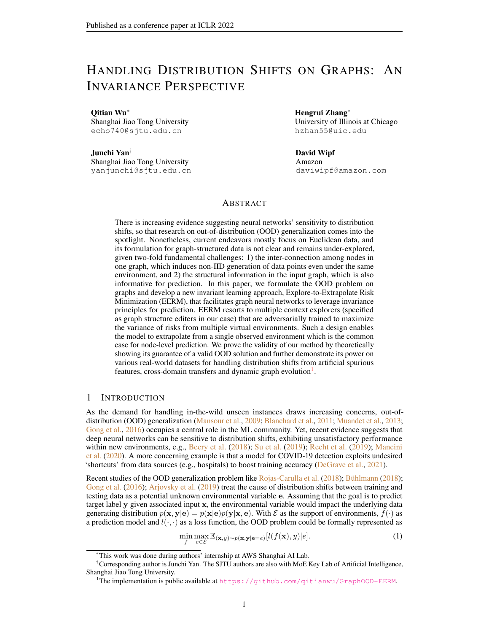<span id="page-6-0"></span>Table 1: Summary of the experimental datasets that entail diverse distribution shifts ("Artificial Transformation" means that we add synthetic spurious features, "Cross-Domain Transfers" means that each graph in the dataset corresponds to distinct domains, "Temporal Evolution" means that the dataset is a dynamic one with evolving nature), different train/val/test splits ("Domain-Level" means splitting by graphs and "Time-Aware" means splitting by time) and the evaluation metrics. In Appendix [E](#page-19-0) we provide more detailed information and discussions on the evaluation protocols.



<span id="page-6-1"></span>

Figure 2: Results on Cora with artificial distribution shifts. We run each experiment with 20 trials. (a) The (distribution of) test accuracy of vanilla GCN using our approach for training and using ERM. (b) The (averaged) accuracy on the training set (achieved by the epoch where the highest validation accuracy is achieved) when using all the input node features and removing the spurious ones for inference. (c) The (averaged) test accuracy with different GNNs for data generation.

<span id="page-6-2"></span>

Figure 3: Experiment results on Amazon-Photo with artificial distribution shifts.

#### 5.1 HANDLING DISTRIBUTION SHIFTS WITH ARTIFICIAL TRANSFORMATION

We first consider artificial distribution shifts based on two public node classification benchmarks Cora and Amazon-Photo. For each dataset, we adopt two randomly initialized GNNs to 1) generate node labels based on the original node features and 2) generate spurious features based on the node labels and environment id, respectively (See Appendix [E.1](#page-19-1) for details). We generate 10-fold graph data with distinct environment id's and use 1/1/8 of them for training/validation/testing.

We use a 2-layer vanilla GCN [\(Kipf & Welling,](#page-10-12) [2017\)](#page-10-12) as the GNN model. We report results on 8 testing graphs (T1∼ T8) of the two datasets in Fig. [2\(](#page-6-1)a) and [3\(](#page-6-2)a), respectively, where we also adopt 2-layer GCNs for data generation. The results show that our approach EERM consistently outperforms ERM on Cora and Photo, which suggests the effectiveness of our approach for handling distribution shifts. We also observe that in Photo, the performance variances within one graph and across different test graphs are both much lower compared with those in Cora. We conjecture the reasons are two-fold. First, there is evidence that in Cora the (original) features from adjacent nodes are indeed informative for prediction while in Photo this information contributes to negligible gain over merely using centered node's features. Based on this, once the node features are mixed up with invariant and spurious ones, it would be harder for distinguishing them in the former case that relies more on graph convolution.

In Fig. [2\(](#page-6-1)b) and Fig. [3\(](#page-6-2)b), we compare the averaged training accuracy (achieved by the epoch with the highest validation accuracy) given by two approaches when using all the input features and removing the spurious ones for inference (we still use all the features for training in the latter case). As we can see, the performance of ERM drops much more significantly than EERM when we remove the spurious input features, which indicates that the GCN trained with standard ERM indeed exploits spurious features to increase training accuracy while our approach can help to alleviate such an issue and guide the model to focus on invariant features. Furthermore, in Fig. [2\(](#page-6-1)c) and Fig. [3\(](#page-6-2)c), we compare the test accuracy averaged on eight graphs when using different GNNs e.g. GCN, SGC [\(Wu](#page-11-9) [et al.,](#page-11-9) [2019\)](#page-11-9) and GAT [\(Velickovic et al.,](#page-11-10) [2018\)](#page-11-10), for data generation (See Appendix G for more results). The results verify that our approach achieves consistently superior performance in different cases.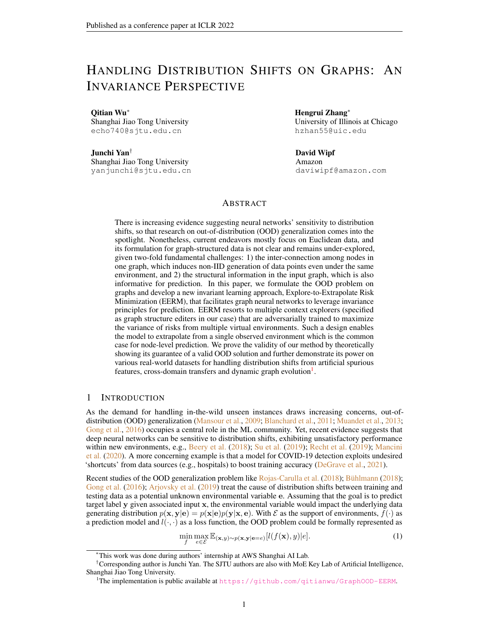<span id="page-7-0"></span>

Figure 4: Test ROC-AUC on Twitch where we compare different GNN backbones.

<span id="page-7-1"></span>Table 2: Test accuracy on FB-100 where we compare different configurations of training graphs.

| Training graph combination       | Penn               |      |       |      | <b>Brown</b>   |             |       |      | Texas |      |       |      |
|----------------------------------|--------------------|------|-------|------|----------------|-------------|-------|------|-------|------|-------|------|
|                                  | <b>EERM</b><br>ERM |      |       | ERM  |                | <b>EERM</b> |       | Erm  |       | EERM |       |      |
| John Hopkins + Caltech + Amherst | 50.48              | 1.09 | 50.64 |      | $0.25$   54.53 | 3.93        | 56.73 | 0.23 | 53.23 | 4.49 | 55.57 | 0.75 |
| Bingham + Duke + Princeton       | 50.17              | 0.65 | 50.67 | 0.79 | 50.43          | 4.58        | 52.76 | 3.40 | 50.19 | 5.81 | 53.82 | 4.88 |
| WashU + Brandeis+ Carnegie       | 50.83              | 0.17 | 51.52 | 0.87 | 54.61          | 4.75        | 55.15 | 3.22 | 56.25 | 0.13 | 56.12 | 0.42 |

<span id="page-7-2"></span>

Figure 5: Test F1 score on Elliptic where we group graph snapshots into 9 test sets (T1∼ T9).

Table 3: Test accuracy on OGB-Arxiv with papers in different time intervals for evaluation.

| Method    |       | 2014-2016 |       | 2016-2018 |       | 2018-2020 |  |
|-----------|-------|-----------|-------|-----------|-------|-----------|--|
| ERM-SAGE  | 42.09 | 1.39      | 39.92 | 2.53      | 36.72 | 2.47      |  |
| EERM-SAGE | 41.55 | 0.68      | 40.36 | 1.29      | 38.95 | 1.57      |  |
| ERM-GPR   | 47.25 | 0.55      | 45.07 | 0.57      | 41.53 | 0.56      |  |
| EERM- GPR | 49.88 | 0.49      | 48.59 | 0.52      | 44.88 | 0.62      |  |

#### <span id="page-7-3"></span>5.2 GENERALIZING TO UNSEEN DOMAINS

We proceed to consider another scenario where there are multiple observed graphs in one dataset and a model trained with one graph or a limited number of graphs is expected to generalize to new unseen graphs. The graphs of a dataset share the input feature space and output space and may have different sizes and data distributions since they are collected from different domains. We adopt two public social network datasets Twitch-Explicit and Facebook-100 collected by [Lim et al.](#page-10-13) [\(2021\)](#page-10-13).

Training with a Single Graph. In Twitch, we adopt a single graph DE for training, ENGB for validation and the remaining five networks (ES, FR, PTBR, RU, TW) for testing. We follow [Lim](#page-10-13) [et al.](#page-10-13) [\(2021\)](#page-10-13) and use test ROC-AUC for evaluation. We specify the GNN model as GCN, GAT and a recently proposed model GCNII [\(Chen et al.,](#page-9-9) [2020a\)](#page-9-9) that can address the over-smoothing of GCN and enable stacking of deep layers. The layer numbers are set as 2 for GCN and GAT and 10 for GCNII. Fig. [4](#page-7-0) compares the results on five test graphs, where EERM significantly outperforms ERM in most cases with up to 7.0% improvement on ROC-AUC. The results verify the effectiveness of EERM for generalizing to new graphs from unseen domains.

**Training with Multiple Graphs.** In  $FB-100$ , we adopt three graphs for training, two graphs for validation and the remaining three for testing. We also follow [Lim et al.](#page-10-13) [\(2021\)](#page-10-13) and use test accuracy for evaluation. We use GCN as the backbone and compare using different configurations of training graphs, as shown in Table [2.](#page-7-1) We can see that EERM outperforms ERM on average on all the test graphs with up to 7.2% improvement. Furthermore, EERM maintains the superiority with different training graphs, which also verifies the robustness of our approach w.r.t. training data.

#### 5.3 EXTRAPOLATING OVER DYNAMIC DATA

We consider the third scenario where the input data are temporal dynamic graphs and the model is trained with dataset collected at one time and needs to handle newly arrived data in the future. Here are also two sub-cases that correspond to distinct real-world scenarios, as discussed below.

**Handling Dynamic Graph Snapshots.** We adopt a dynamic financial network dataset  $Elliptic$ [\(Pareja et al.,](#page-11-4) [2020\)](#page-11-4) that contains dozens of graph snapshots where each node is a Bitcoin transaction and the goal is to detect illicit transactions. We use 5/5/33 snapshots for train/valid/test. Following [Pareja et al.](#page-11-4) [\(2020\)](#page-11-4) we use F1 score for evaluation. We consider two GNN architectures as the backbone: GraphSAGE [\(Hamilton et al.,](#page-10-14) [2017\)](#page-10-14) and GPRGNN [\(Chien et al.,](#page-9-10) [2021\)](#page-9-10) that can adaptively combine information from node features and graph topology. The results are shown in Fig. [5](#page-7-2) where we group the test graph snapshots into 9 folds in chronological order. Our approach yields much higher F1 scores than ERM in most cases with averagely 9.6%/10.0% improvements using GraphSAGE/GPR-GNN as backbones. Furthermore, there is an interesting phenomenon that both methods suffer a performance drop after T7. The reason is that this is the time when the dark market shutdown occurred [\(Pareja et al.,](#page-11-4) [2020\)](#page-11-4). Such an emerging event causes considerable variation to data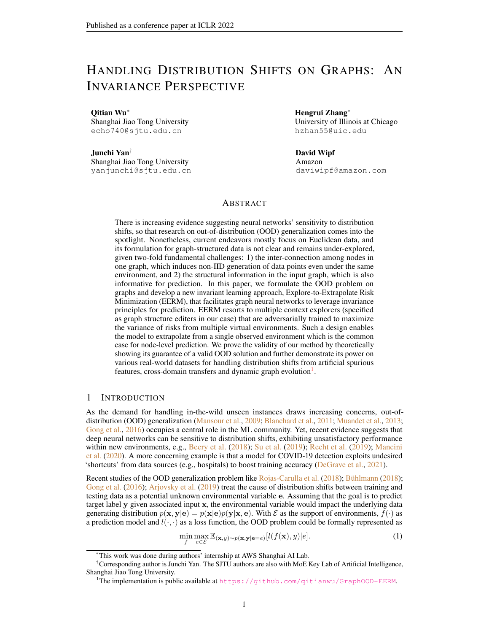distributions that leads to performance degrade for both methods, with ERM suffering more. In fact, the emerging event acts as an external factor which is unpredictable given the limited training data. The results also suggest that how neural models generalize to OOD data depends on the learning approach but its performance limit is dominated by observed data. Nonetheless, our approach contributes to better F1 scores than ERM even in such an extreme case.

Handling New Nodes in Temporally Augmented Graph. Citation networks often go through temporal augmentation with new papers published. We adopt  $OGB - Arxi\upsilon$  [\(Hu et al.,](#page-10-7) [2020\)](#page-10-7) for experiments and enlarge the time difference between training and testing data to introduce distribution shifts: we select papers published before 2011 for training, in-between 2011 and 2014 for validation, and within 2014-2016/2016-2018/2018-2020 for testing. Also different from the original (transduc-tive) setting in [Hu et al.](#page-10-7) [\(2020\)](#page-10-7), we use the inductive learning setting, i.e., test nodes are strictly unseen during training, which is more akin to practical situations. Table [3](#page-7-2) presents the test accuracy and shows that EERM outperforms ERM in five cases out of six. Notably, when using GPRGNN as the backbone, EERM manages to achieve up to 8.1% relative improvement, which shows that EERM is capable of improving GNN model's learning for extrapolating to future data.

# 6 DISCUSSIONS WITH EXISTING WORKS

We compare with some closely related works and highlight our differences. Due to space limit, we defer more discussions on literature review to Appendix [B.](#page-13-2)

Generalization/Extrapolation on Graphs. Recent endeavors [\(Scarselli et al.,](#page-11-11) [2018;](#page-11-11) [Garg et al.,](#page-10-15) [2020;](#page-10-15) [Verma & Zhang,](#page-11-12) [2019\)](#page-11-12) derive generalization error bounds for GNNs, yet they focus on indistribution generalization and put little emphasis on distribution shifts, which are the main focus of our work. Furthermore, some up-to-date works explore GNN's extrapolation ability for OOD data, e.g. unseen features/structures ( $Xu$  et al., [2021\)](#page-12-2) and varying graph sizes [\(Yehudai et al.,](#page-12-3) [2021;](#page-12-3) [Bevilacqua et al.,](#page-9-11) [2021\)](#page-9-11). However, they mostly concentrate on graph-level tasks rather than node-level ones (see detailed comparison below). Moreover, some recent works probe into extrapolating features' embeddings [\(Wu et al.,](#page-11-14) [2021a\)](#page-11-13) or user representations (Wu et al., [2021b\)](#page-11-14) for open-world learning in tabular data or real systems for recommendation and advertisement. These works consider distribution shifts stemming from augmented input space or unseen entities, and the proposed models leverage GNNs as an explicit model that extrapolates to compute representations for new entities based on existing ones. In contrast, our work studies (implicit) distribution shifts behind observed data, and the proposed approach resorts to an implicit mechanism through the lens of invariance principle.

Node-Level v. s. Graph-Level OOD Generalization. The two classes of graph-related problems are often treated differently in the literature: node-level tasks target prediction on individual nodes that are non-i.i.d. generated due to the interconnection of graph structure; graph-level tasks treat a graph as an instance for prediction and tacitly assume that all the graph instances are sampled in an i.i.d. manner. The distinct nature of them suggests that they need to be tackled in different ways for OOD generalization purpose. Graph-level problems have straightforward relationship to the general setting (in Eq. [1\)](#page-0-1) since one can treat input graphs as x and graph labels as y. Based on this, the data from one environment becomes a set of i.i.d. generated pairs  $(x, y)$  and existing approaches for handling general OOD settings could be naturally generalized. Differently, node-level problems, where nodes inter-connected in one graph (e.g., social network) are instances, cannot be handled in this way due to the non-i.i.d. data generation. Our work introduces a new perspective for formulating OOD problems involving prediction for individual nodes, backed up with a concrete approach for problem solving and theoretical guarantees. While our experiments mainly focus on node-level prediction datasets, the proposed method can be applied to graph-level prediction and also extended beyond graph data (like images/texts) for generalization from limited observed environments.

## 7 CONCLUSION

This work targets out-of-distribution generalization for graph-structured data with the focus on node-level problems where the inter-connection of data points hinders trivial extension from existing formulation and methods. To this end, we take a fresh perspective to formulate the problem in a principled way and further develop a new approach for extrapolation from a single environment, backed up with theoretical guarantees. We also design comprehensive experiments to show the practical power of our approach on various real-world datasets with diverse distribution shifts.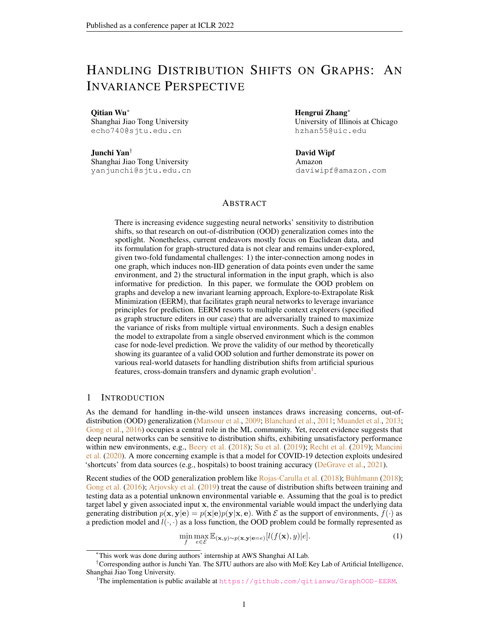## 8 ACKNOWLEDGEMENT

This work was in part supported by National Key Research and Development Program of China (2020AAA0107600), Shanghai Municipal Science and Technology Major Project (2021SHZDZX0102).

#### **REFERENCES**

- <span id="page-9-12"></span>Faruk Ahmed, Yoshua Bengio, Harm van Seijen, and Aaron C. Courville. Systematic generalisation with group invariant predictions. In *International Conference on Learning Representations (ICLR)*, 2021.
- <span id="page-9-5"></span>Kartik Ahuja, Karthikeyan Shanmugam, Kush R. Varshney, and Amit Dhurandhar. Invariant risk minimization games. In *International Conference on Machine Learning (ICML)*, pp. 145–155, 2020.
- <span id="page-9-7"></span>Ehab A AlBadawy, Ashirbani Saha, and Maciej A Mazurowski. Deep learning for segmentation of brain tumors: Impact of cross-institutional training and testing. In *Medical physics*, 2018.
- <span id="page-9-3"></span>Martín Arjovsky, Léon Bottou, Ishaan Gulrajani, and David Lopez-Paz. Invariant risk minimization. *CoRR*, abs/1907.02893, 2019.
- <span id="page-9-15"></span>Aseem Baranwal, Kimon Fountoulakis, and Aukosh Jagannath. Graph convolution for semisupervised classification: Improved linear separability and out-of-distribution generalization. In *International Conference on Machine Learning (ICML)*, pp. 684–693, 2021.
- <span id="page-9-1"></span>Sara Beery, Grant Van Horn, and Pietro Perona. Recognition in terra incognita. In *European Conference on Computer Vision (ECCV)*, pp. 472–489, 2018.
- <span id="page-9-8"></span>R. Berk, H. Heidari, S. Jabbari, M. Kearns, and A Roth. Fairness in criminal justice risk assessments: The state of the art. In *Sociological Methods & Research*, 2018.
- <span id="page-9-11"></span>Beatrice Bevilacqua, Yangze Zhou, and Bruno Ribeiro. Size-invariant graph representations for graph classification extrapolations. In *International Conference on Machine Learning (ICML)*, pp. 837–851, 2021.
- <span id="page-9-0"></span>Gilles Blanchard, Gyemin Lee, and Clayton Scott. Generalizing from several related classification tasks to a new unlabeled sample. In *Advances in Neural Information Processing Systems (NeurIPS)*, pp. 2178–2186, 2011.
- <span id="page-9-2"></span>Peter Bühlmann. Invariance, causality and robustness. *CoRR*, abs/1812.08233, 2018.
- <span id="page-9-4"></span>Shiyu Chang, Yang Zhang, Mo Yu, and Tommi S. Jaakkola. Invariant rationalization. In *International Conference on Machine Learning (ICML)*, pp. 1448–1458, 2020.
- <span id="page-9-9"></span>Ming Chen, Zhewei Wei, Zengfeng Huang, Bolin Ding, and Yaliang Li. Simple and deep graph convolutional networks. In *International Conference on Machine Learning (ICML)*, pp. 1725–1735, 2020a.
- <span id="page-9-14"></span>Tianlong Chen, Yongduo Sui, Xuxi Chen, Aston Zhang, and Zhangyang Wang. A unified lottery ticket hypothesis for graph neural networks. In *International Conference on Machine Learning (ICML)*, pp. 1695–1706, 2021.
- <span id="page-9-13"></span>Yu Chen, Lingfei Wu, and Mohammed J. Zaki. Iterative deep graph learning for graph neural networks: Better and robust node embeddings. In *Advances in Neural Information Processing Systems (NeurIPS)*, 2020b.
- <span id="page-9-10"></span>Eli Chien, Jianhao Peng, Pan Li, and Olgica Milenkovic. Adaptive universal generalized pagerank graph neural network. In *International Conference on Learning Representations (ICLR)*, 2021.
- <span id="page-9-6"></span>Elliot Creager, Jörn-Henrik Jacobsen, and Richard S. Zemel. Environment inference for invariant learning. In *International Conference on Machine Learning (ICML)*, pp. 2189–2200, 2021.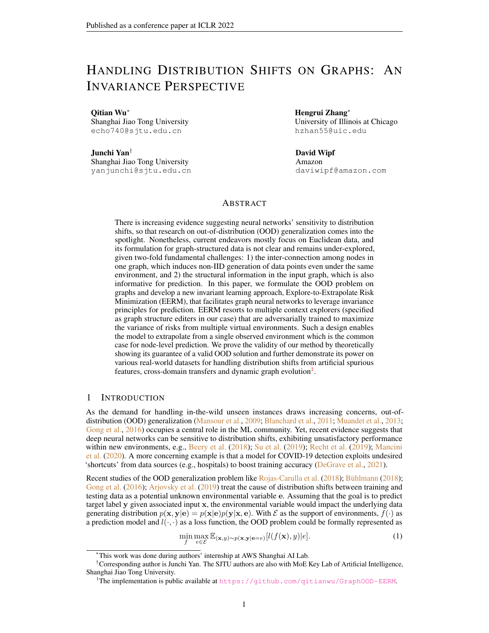- <span id="page-10-9"></span>Dengxin Dai and Luc Van Gool. Dark model adaptation: Semantic image segmentation from daytime to nighttime. In *International Conference on Intelligent Transportation Systems (ITSC)*, pp. 3819–3824, 2018.
- <span id="page-10-3"></span>A. J. DeGrave, J. D. Janizek, and S.-I Lee. Ai for radiographic covid-19 detection selects shortcuts over signal. *Nature Machine Intelligence*, 2021.
- <span id="page-10-8"></span>Shobeir Fakhraei, James R. Foulds, Madhusudana V. S. Shashanka, and Lise Getoor. Collective spammer detection in evolving multi-relational social networks. In *ACM SIGKDD International Conference on Knowledge Discovery and Data Mining (KDD)*, pp. 1769–1778, 2015.
- <span id="page-10-11"></span>Marco Federici, Ryota Tomioka, and Patrick Forré. An information-theoretic approach to distribution shifts. *CoRR*, abs/2106.03783, 2021.
- <span id="page-10-15"></span>Vikas K. Garg, Stefanie Jegelka, and Tommi S. Jaakkola. Generalization and representational limits of graph neural networks. In *International Conference on Machine Learning (ICML)*, pp. 3419–3430, 2020.
- <span id="page-10-1"></span>Mingming Gong, Kun Zhang, Tongliang Liu, Dacheng Tao, Clark Glymour, and Bernhard Schölkopf. Domain adaptation with conditional transferable components. In *International Conference on Machine Learning (ICML)*, pp. 2839–2848, 2016.
- <span id="page-10-14"></span>William L. Hamilton, Zhitao Ying, and Jure Leskovec. Inductive representation learning on large graphs. In *Advances in Neural Information Processing Systems (NeurIPS)*, pp. 1024–1034, 2017.
- <span id="page-10-17"></span>Arman Hasanzadeh, Ehsan Hajiramezanali, Shahin Boluki, Mingyuan Zhou, Nick Duffield, Krishna Narayanan, and Xiaoning Qian. Bayesian graph neural networks with adaptive connection sampling. In *International Conference on Machine Learning (ICML)*, pp. 4094–4104, 2020.
- <span id="page-10-7"></span>Weihua Hu, Matthias Fey, Marinka Zitnik, Yuxiao Dong, Hongyu Ren, Bowen Liu, Michele Catasta, and Jure Leskovec. Open graph benchmark: Datasets for machine learning on graphs. In *Advances in Neural Information Processing Systems (NeurIPS)*, 2020.
- <span id="page-10-10"></span>Wei Jin, Yao Ma, Xiaorui Liu, Xianfeng Tang, Suhang Wang, and Jiliang Tang. Graph structure learning for robust graph neural networks. In *ACM SIGKDD Conference on Knowledge Discovery and Data Mining (KDD)*, pp. 66–74, 2020.
- <span id="page-10-12"></span>Thomas N. Kipf and Max Welling. Semi-supervised classification with graph convolutional networks. In *International Conference on Learning Representations (ICLR)*, 2017.
- <span id="page-10-6"></span>Masanori Koyama and Shoichiro Yamaguchi. When is invariance useful in an out-of-distribution generalization problem ? *CoRR*, abs/2008.01883, 2021.
- <span id="page-10-4"></span>David Krueger, Ethan Caballero, Jörn-Henrik Jacobsen, Amy Zhang, Jonathan Binas, Rémi Le Priol, and Aaron C. Courville. Out-of-distribution generalization via risk extrapolation (rex). In *International Conference on Machine Learning (ICML)*, 2021.
- <span id="page-10-13"></span>Derek Lim, Xiuyu Li, Felix Hohne, and Ser-Nam Lim. New benchmarks for learning on nonhomophilous graphs. In *The Web Conference (WWW) workshop*, 2021.
- <span id="page-10-5"></span>Jiashuo Liu, Zheyuan Hu, Peng Cui, Bo Li, and Zheyan Shen. Heterogeneous risk minimization. In *International Conference on Machine Learning (ICML)*, pp. 6804–6814, 2021.
- <span id="page-10-18"></span>Jiaqi Ma, Junwei Deng, and Qiaozhu Mei. Subgroup generalization and fairness of graph neural networks. In *Advances in Neural Information Processing Systems*, 2021.
- <span id="page-10-16"></span>Divyat Mahajan, Shruti Tople, and Amit Sharma. Domain generalization using causal matching. In *International Conference on Machine Learning (ICML)*, pp. 7313–7324, 2021.
- <span id="page-10-2"></span>Massimiliano Mancini, Zeynep Akata, Elisa Ricci, and Barbara Caputo. Towards recognizing unseen categories in unseen domains. In *European Conference on Computer Vision (ECCV)*, pp. 466–483, 2020.
- <span id="page-10-0"></span>Yishay Mansour, Mehryar Mohri, and Afshin Rostamizadeh. Domain adaptation: Learning bounds and algorithms. In *Conference on Learning Theory (COLT)*, 2009.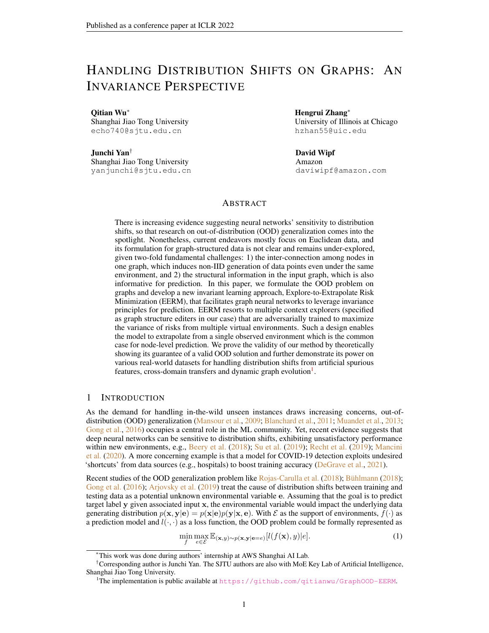- <span id="page-11-0"></span>Krikamol Muandet, David Balduzzi, and Bernhard Schölkopf. Domain generalization via invariant feature representation. In *International Conference on Machine Learning (ICML)*, pp. 10–18, 2013.
- <span id="page-11-4"></span>Aldo Pareja, Giacomo Domeniconi, Jie Chen, Tengfei Ma, Toyotaro Suzumura, Hiroki Kanezashi, Tim Kaler, Tao B. Schardl, and Charles E. Leiserson. Evolvegcn: Evolving graph convolutional networks for dynamic graphs. In *AAAI Conference on Artificial Intelligence (AAAI)*, pp. 5363–5370, 2020.
- <span id="page-11-16"></span>J. Peters, P. B¨uhlmann, and N Meinshausen. Causal inference by using invariant prediction: identification and confidence intervals. In *Journal of the Royal Statistical Society. Series B (Statistical Methodology)*, pp. 947 – 1012, 2016.
- <span id="page-11-2"></span>Benjamin Recht, Rebecca Roelofs, Ludwig Schmidt, and Vaishaal Shankar. Do imagenet classifiers generalize to imagenet? In *International Conference on Machine Learning (ICML)*, pp. 5389–5400, 2019.
- <span id="page-11-3"></span>Mateo Rojas-Carulla, Bernhard Schölkopf, Richard E. Turner, and Jonas Peters. Invariant models for causal transfer learning. *Journal of Machine Learning Research*, 19:36:1–36:34, 2018.
- <span id="page-11-7"></span>Benedek Rozemberczki, Carl Allen, and Rik Sarkar. Multi-scale attributed node embedding. *Journal of Complex Networks*, 9(2), 2021.
- <span id="page-11-17"></span>Shiori Sagawa, Pang Wei Koh, Tatsunori B. Hashimoto, and Percy Liang. Distributionally robust neural networks for group shifts: On the importance of regularization for worst-case generalization. *CoRR*, abs/1911.08731, 2019.
- <span id="page-11-11"></span>Franco Scarselli, Ah Chung Tsoi, and Markus Hagenbuchner. The vapnik-chervonenkis dimension of graph and recursive neural networks. *Neural Networks*, 108:248–259, 2018.
- <span id="page-11-15"></span>Bernhard Schölkopf, Dominik Janzing, Jonas Peters, Eleni Sgouritsa, Kun Zhang, and Joris M. Mooij. On causal and anticausal learning. In *International Conference on Machine Learning (ICML)*, 2012.
- <span id="page-11-6"></span>Oleksandr Shchur, Maximilian Mumme, Aleksandar Bojchevski, and Stephan Günnemann. Pitfalls of graph neural network evaluation. *CoRR*, abs/1811.05868, 2018.
- <span id="page-11-1"></span>Jiawei Su, Danilo Vasconcellos Vargas, and Kouichi Sakurai. One pixel attack for fooling deep neural networks. *IEEE Transactions on Evolutionary Computation*, 23(5):828–841, 2019.
- <span id="page-11-8"></span>Amanda L. Traud, Peter J. Mucha, and Mason A. Porter. Social structure of facebook networks. *CoRR*, abs/1102.2166, 2011.
- <span id="page-11-10"></span>Petar Velickovic, Guillem Cucurull, Arantxa Casanova, Adriana Romero, Pietro Liò, and Yoshua Bengio. Graph attention networks. In *International Conference on Learning Representations (ICLR)*, 2018.
- <span id="page-11-12"></span>Saurabh Verma and Zhi-Li Zhang. Stability and generalization of graph convolutional neural networks. In *ACM SIGKDD International Conference on Knowledge Discovery and Data Mining (KDD)*, pp. 1539–1548, 2019.
- <span id="page-11-5"></span>Boris Weisfeiler and AA Lehman. A reduction of a graph to a canonical form and an algebra arising during this reduction. *Nauchno-Technicheskaya Informatsia*, 2(9):12–16, 1968.
- <span id="page-11-9"></span>Felix Wu, Amauri H. Souza Jr., Tianyi Zhang, Christopher Fifty, Tao Yu, and Kilian Q. Weinberger. Simplifying graph convolutional networks. In *International Conference on Machine Learning (ICML)*, pp. 6861–6871, 2019.
- <span id="page-11-13"></span>Qitian Wu, Chenxiao Yang, and Junchi Yan. Towards open-world feature extrapolation: An inductive graph learning approach. In *Advances in Neural Information Processing Systems (NeurIPS)*, 2021a.
- <span id="page-11-14"></span>Qitian Wu, Hengrui Zhang, Xiaofeng Gao, Junchi Yan, and Hongyuan Zha. Towards open-world recommendation: An inductive model-based collaborative filtering approach. In *International Conference on Machine Learning (ICML)*, 2021b.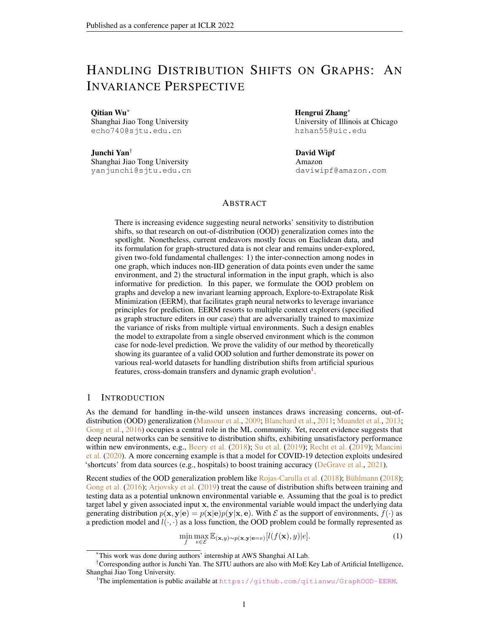- <span id="page-12-4"></span>Chuanlong Xie, Fei Chen, Yue Liu, and Zhenguo Li. Risk variance penalization: From distributional robustness to causality. *CoRR*, abs/2006.07544, 2020.
- <span id="page-12-0"></span>Kaidi Xu, Hongge Chen, Sijia Liu, Pin-Yu Chen, Tsui-Wei Weng, Mingyi Hong, and Xue Lin. Topology attack and defense for graph neural networks: An optimization perspective. In *International Joint Conference on Artificial Intelligence (IJCAI)*, pp. 3961–3967, 2019.
- <span id="page-12-2"></span>Keyulu Xu, Jingling Li, Mozhi Zhang, Simon S. Du, Ken-ichi Kawarabayashi, and Stefanie Jegelka. How neural networks extrapolate: From feedforward to graph neural networks. In *International Conference on Learning Representations (ICLR)*, 2021.
- <span id="page-12-1"></span>Zhilin Yang, William W. Cohen, and Ruslan Salakhutdinov. Revisiting semi-supervised learning with graph embeddings. In *International Conference on Machine Learning (ICML)*, pp. 40–48, 2016.
- <span id="page-12-3"></span>Gilad Yehudai, Ethan Fetaya, Eli A. Meirom, Gal Chechik, and Haggai Maron. From local structures to size generalization in graph neural networks. In *International Conference on Machine Learning (ICML)*, pp. 11975–11986, 2021.
- <span id="page-12-5"></span>Yingxue Zhang, Soumyasundar Pal, Mark Coates, and Deniz Üstebay. Bayesian graph convolutional neural networks for semi-supervised classification. In *AAAI Conference on Artificial Intelligence (AAAI)*, pp. 5829–5836, 2019.
- <span id="page-12-6"></span>Cheng Zheng, Bo Zong, Wei Cheng, Dongjin Song, Jingchao Ni, Wenchao Yu, Haifeng Chen, and Wei Wang. Robust graph representation learning via neural sparsification. In *International Conference on Machine Learning (ICML)*, pp. 11458–11468, 2020.
- <span id="page-12-7"></span>Qi Zhu, Natalia Ponomareva, Jiawei Han, and Bryan Perozzi. Shift-robust gnns: Overcoming the limitations of localized graph training data. In *Advances in Neural Information Processing Systems*, 2021.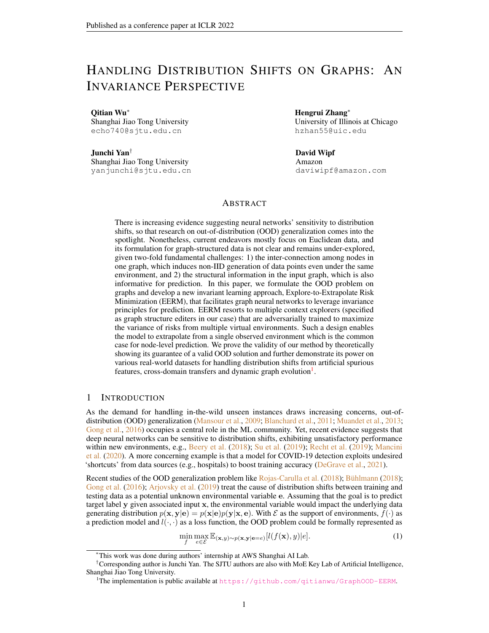# <span id="page-13-0"></span>A OPTIMIZATION AND ALGORITHM

We illustrate the details of using policy gradient for optimizing the graph editers in Eq. [5.](#page-4-2) Concretely, for view k, we consider a parameterized matrix  $P_k = \{\pi_{nm}^k\}$ . For the *n*-th node, the probability for editing the edge between it and the m-th node would be  $p(a_{nm}^k) = \frac{\exp(\pi_{nm}^k)}{\sum_{m'} \exp(\pi_{nm'}^k)}$ . We then sample s actions  $\{b_{nm}^k\}_{k=1}^s$  from a multinomial distribution  $\mathcal{M}(p(a_{n1}^k), \dots, p(a_{nn}^k))$ , which give the nonzero entries in the *n*-th row of  $B^k$ . The reward function  $R(G^k)$  can be defined as the inverse loss. We can use REINFORCE algorithm to optimize the generator with the gradient  $\nabla_{w_k} \log p_{w_k}(A^k) R(G^k)$ where  $w_k = P_k$  and  $p_{w_k}(A^k) = \prod_n \prod_{t=1}^s p(b_{nm_t}^k)$ . We present the training algorithm in Alg. [1.](#page-13-1)

| Algorithm 1: Stable Learning for OOD Generalization in Node-Level Prediction on Graphs. |  |  |  |
|-----------------------------------------------------------------------------------------|--|--|--|
|-----------------------------------------------------------------------------------------|--|--|--|

<span id="page-13-1"></span>1 **INPUT:** training graph data  $G = (A, X)$  and Y, initialized parameters of GNN  $\theta$ , initialized parameters of graph editers  $w = \{w_k\}$ , learning rates  $\alpha_q$ ,  $\alpha_f$ .

<sup>2</sup> while *not converged or maximum epochs not reached* do

```
\mathbf{3} | for t = 1, \cdots, T do
```
4  $\Box$  Obtain modified graphs  $G^k = (A^k, X)$  from graph editer  $g_{w_k}, k = 1, \cdots, K;$  $\mathsf{s}$  | Compute loss  $J_1(w) = \text{Var}(\{L(G^k, Y; \theta) : 1 \leq k \leq K\})$ ; 6 Update  $w_k \leftarrow w_k + \alpha_g \nabla_{w_k} \log p_{w_k}(A^k) J_1(w), k = 1, \dots, K;$  $\tau$  | if  $t == T$  then **8** Compute loss  $J_2(\theta) = \text{Var}(\{L(G^k, Y; \theta) : 1 \le k \le K\}) + \frac{\beta}{K} \bigcap_{k=1}^K L(G^k, Y; \theta)$ ; 9 | | Update  $\theta \leftarrow \theta - \alpha_f \nabla_{\theta} J_2(\theta)$ ;

10 OUTPUT: trained parameters of GNN  $\theta^*$ .

# <span id="page-13-2"></span>B FURTHER RELATED WORKS

# B.1 OUT-OF-DISTRIBUTION GENERALIZATION AND INVARIANT MODELS

Out-of-distribution generalization has drawn extensive attention in the machine learning community. To endow the learning systems with the ability for handling unseen data from new environments, it is natural to learn invariant features under the setting of the causal factorization of physical mechanisms [\(Schölkopf et al.,](#page-11-15) [2012;](#page-11-15) [Peters et al.,](#page-11-16) [2016\)](#page-11-16). A recent work [\(Arjovsky et al.,](#page-9-3) [2019\)](#page-9-3) proposes Invariant Risk Minimization (IRM) as a practical solution for OOD problem via invariance principle. Based on this, follow-up works make solid progress in this direction, e.g., with group distributional robust optimization [\(Sagawa et al.,](#page-11-17) [2019\)](#page-11-17), invariant rationalization [\(Chang et al.,](#page-9-4) [2020\)](#page-9-4), game theory [\(Ahuja](#page-9-5) [et al.,](#page-9-5) [2020\)](#page-9-5), etc. Several works attempt to resolve extended settings. For instance, [Ahmed et al.](#page-9-12) [\(2021\)](#page-9-12) proposes to match the output distribution spaces from different domains via some divergence, while a recent work [\(Mahajan et al.,](#page-10-16) [2021\)](#page-10-16) also leverages a matching-based algorithm that resorts to shared representations of cross-domain inputs from the same object. Also, [Creager et al.](#page-9-6) [\(2021\)](#page-9-6) and [Liu et al.](#page-10-5) [\(2021\)](#page-10-5) point out that in most real situations, one has no access to the correspondence of each data point in the dataset with a specific environment, based on which they propose to estimate the environments as a latent variable.

[Krueger et al.](#page-10-4) [\(2021\)](#page-10-4) devises Risk Extrapolation (REX) which aims at minimizing the weighted combination of the variance and the mean of risks from multiple environments. [Xie et al.](#page-12-4) [\(2020\)](#page-12-4) contributes to a similar objective from different theoretical perspective. Also, Koyama  $\&$  Yamaguchi [\(2021\)](#page-10-6) extends the spirit of MAML algorithm and arrives at a similar objective form. In our model, we also consider minimization of the combination of variance and mean terms (in Eq. [4\)](#page-4-1) and on top of that we further propose to optimize through a bilevel framework in Eq. [5.](#page-4-2) Compared to existing works, the differences of EERM are two-folds. First, we do not assume input data from multiple environments and the correspondence between each data point and a specific environment. Instead, our formulation enables learning and extrapolation from a single observed environment. Second, on methodology side, we introduce multiple context generators that aim to generate data of virtual environments in an adversarial manner. Besides, our formulation in this paper focus on prediction tasks for nodes on graphs, where the essential difference, as mentioned before, lies in the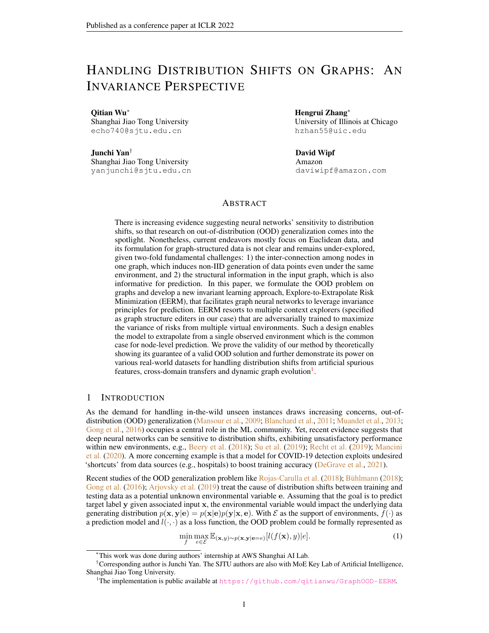inter-connection of data points in one graph (that corresponds to an environment), which hinders trivial adaption from existing works in the general setting.

#### B.2 GRAPH NEURAL NETWORKS AND GENERALIZATION

Another line of research related to us attempts to enhance the generalization ability of graph neural networks via modifying the graph structures. One category of recent works is to learn new graph structures based on the input graph and node features. To improve the generalization power, a common practice is to enforce a certain regularization for the learned graph structures. For example, [Jin et al.](#page-10-10) [\(2020\)](#page-10-10) proposes to constrain the sparsity and smoothness of graphs via matrix norms and further adopts proximal gradient methods for handling the non-differentiable issue. [Chen et al.](#page-9-13) [\(2020b\)](#page-9-13); [Zhang et al.](#page-12-5) [\(2019\)](#page-12-5) also aim to regularize the sparsity and smoothness but differently harness energy function to enforce the constraints. From a different perspective, [Xu et al.](#page-12-0) [\(2019\)](#page-12-0) attempts to attack the graph topology for improving the model's robustness and proposes to leverage projected gradient descent to make it tractable for the optimization of discrete graph structures. Alternatively, several works focus on pruning the graph networks [\(Chen et al.,](#page-9-14) [2021\)](#page-9-14) or adaptively sparsifying the structures [\(Zheng et al.,](#page-12-6) [2020;](#page-12-6) [Hasanzadeh et al.,](#page-10-17) [2020\)](#page-10-17). In this paper, we focus on out-of-distribution generalization and target handling distribution shifts over graphs, which is more difficult than the setting of previous methods that concentrate on in-distribution generalization. On methodology side, with a different training scheme, our context generators aim to generate data of multiple virtual environments and are learned from maximizing the variance of risks of multiple (virtual) environments. Also, one can specify our context generators with other existing graph generation/editing/attacking frameworks as mentioned above, which we leave as future works.

There are some very recent works that endeavor to study the out-of-distribution generalization ability of GNNs for node classification. [\(Baranwal et al.,](#page-9-15) [2021\)](#page-9-15) introduces contextual stochastic block model that is a mix-up of standard stochastic block model and a Gaussian mixture model with each node class corresponding to a component, based on which the authors show some cases where linear separability can be achieved. [\(Ma et al.,](#page-10-18) [2021\)](#page-10-18) focuses on subgroup generalization and presents a PAC-Bayesian theoretic framework, while [\(Zhu et al.,](#page-12-7) [2021\)](#page-12-7) targets distribution shifts between selecting training and testing nodes and proposes new GNN model called Shift-Robust GNNs. By contrast, our work possesses the following distinct technical contributions. First, we formulate OOD problem for node-level tasks in a general manner without any assumption on specific distribution forms or the way for generation of graph structures (our Assumption [1](#page-3-2) and [2](#page-5-1) mainly focus on the existence of causal features and spurious features in data generation across different environments). Second, our proposed model and algorithm are rooted on invariant models, providing a new perspective and methodology for OOD learning on graphs. Third, we design and conduct comprehensive experiments on diverse real-world datasets that can reflect in-the-wild nature in real situations (e.g., cross-graph transfers and dynamic evolution) and demonstrate the power of our approach in three scenarios.

## C PROOFS FOR SECTION [3.1](#page-3-3)

#### C.1 PROOF FOR PROPOSITION [1](#page-3-4)

We define the aggregated node feature  $a_v = \frac{1}{|N_v|} \int u \in N_v} x_u$ . According to the definition and setup in Section [3.1,](#page-3-3) we derive the risk under a specific environment  $R(e)$ :

$$
\frac{1}{|V|} \sum_{v \in V}^{\infty} \mathbb{E}_{\mathbf{y}|\mathbf{G}_{\mathbf{v}}=G_{V}} ||\hat{y}_{v} - y_{v}||_{2}^{2}
$$
\n
$$
= \frac{1}{|V|} \sum_{v \in V}^{\infty} \mathbb{E}_{\mathbf{n}^{1}, \mathbf{n}^{2}} ||\theta_{1} a_{v}^{1} + \theta_{2} a_{v}^{2} - y_{v}||_{2}^{2}
$$
\n
$$
= \frac{1}{|V|} \sum_{v \in V}^{\infty} \mathbb{E}_{\mathbf{n}^{1}, \mathbf{n}^{2}} ||(\theta_{1} + \theta_{2} - 1)a_{v}^{1} + \theta_{2}(n_{v}^{1} + n_{v}^{2} + \epsilon) - n_{v}^{1}||_{2}^{2} .
$$
\n(7)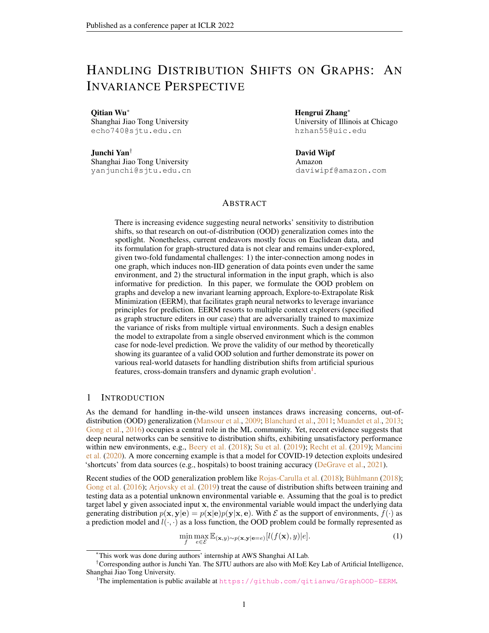Denote the objective for empirical risk minimization as  $L_1 = \mathbb{E}_{\mathbf{e}}[R(e)]$  and we have its first-order derivative w.r.t.  $\theta_1$  as

$$
\frac{\partial L_1}{\partial \theta_1} = \mathbb{E}_{\mathbf{e}} \underbrace{\frac{1}{|V|} \sum_{v \in V}^{\mathbf{X}} \mathbb{E}_{\mathbf{n}^1, \mathbf{n}^2} 2[(\theta_1 + \theta_2 - 1)a_v^1 + \theta_2(n_v^1 + n_v^2 + \epsilon) - n_v^1] \cdot a_v^1}_{\#} + \mathbb{E}_{\mathbf{e}} \underbrace{\frac{1}{|V|} \sum_{v \in V}^{\mathbf{X}} \mathbb{E}_{\mathbf{n}^1, \mathbf{n}^2} 2[(\theta_1 + \theta_2 - 1) \cdot a_v^1 \cdot a_v^1, \dots, (8)}
$$

where the second step is given by independence among  $a_v^1$ ,  $n_v^1$ ,  $n_v^2$  and  $\epsilon$ . Let  $\frac{\partial L_1}{\partial \theta_1} = 0$ , and we will obtain  $\theta_1 + \theta_2 = 1$ .

Also, the first-order derivative w.r.t.  $\theta_2$  is

Also, the first-order derivative w.r.t. 
$$
\theta_2
$$
 is  
\n
$$
\frac{\partial L_1}{\partial \theta_2} = \mathbb{E}_\mathbf{e} \underbrace{\frac{1}{|V|} \sum_{v \in V}^{\times} \mathbb{E}_{\mathbf{n}^1, \mathbf{n}^2} 2[(\theta_1 + \theta_2 - 1)a_v^1 + \theta_2(n_v^1 + n_v^2 + \epsilon) - n_v^1] \cdot (a_v^1 + n_v^1 + n_v^2 + \epsilon)}_{\#}
$$
\n
$$
= \mathbb{E}_\mathbf{e} \underbrace{\frac{1}{|V|} \sum_{v \in V}^{\times} \mathbb{E}_{\mathbf{n}^1, \mathbf{n}^2} 2[(\theta_1 + \theta_2 - 1) \cdot a_v^1 \cdot a_v^1 + \theta_2(n_v^1 \cdot n_v^1 + n_v^2 \cdot n_v^2 + \epsilon \cdot \epsilon) - n_v^1 \cdot n_v^1}_{\#}
$$
\n
$$
= \mathbb{E}_\mathbf{e} \underbrace{\frac{1}{|V|} \sum_{v \in V}^{\times} \mathbb{E}_{\mathbf{n}^1, \mathbf{n}^2} 2[(\theta_1 + \theta_2 - 1) \cdot a_v^1 \cdot a_v^1 + \theta_2(1 + 1 + \sigma_e^2) - 1}_{\#}, \qquad (9)
$$

where the last step is according to  $\mathbb{E}_{\mathbf{x}}[x^2] = \mathbb{E}_{\mathbf{x}}^2[x] + \mathbb{V}_{\mathbf{x}}[x]$ . We further let  $\frac{\partial L_1}{\partial \theta_2} = 0$ , and will get the unique solution

$$
\theta_1 = \frac{1 + \sigma_e^2}{2 + \sigma_e^2}, \quad \theta_2 = \frac{1}{2 + \sigma_e^2}.
$$
\n(10)

## C.2 PROOF FOR PROPOSITION [2](#page-4-3)

Let  $L_2 = \mathbb{V}_e[R(e)] = \mathbb{E}_e[R^2(e)] - \mathbb{E}_e^2[R(e)]$  and  $l(e) = (\theta_1 + \theta_2 - 1)a_v^1 + \theta_2(n_v^1 + n_v^2 + \epsilon) - n_v^1$ . We derive the first-order derivation of  $L_2$  w.r.t.  $\theta_1$  and  $\theta_2$ . Firstly,

$$
\frac{\partial L_2}{\partial \theta_1} = \mathbb{E}_\mathbf{e} \begin{array}{c} 1 \ X \\ |V| \end{array} \mathbb{E}_{\mathbf{n}^1, \mathbf{n}^2} 4l^3(e)a_v^1 + \mathbb{E}_\mathbf{e}^2 \begin{array}{c} 1 \ X \\ |V| \end{array} \mathbb{E}_{\mathbf{n}^1, \mathbf{n}^2} 2l(e)a_v^1 , \qquad (11)
$$

$$
\frac{\partial L_2}{\partial \theta_2} = \mathbb{E}_\mathbf{e} \begin{array}{c} 1 \ X \\ |V| \end{array} \mathbb{E}_{\mathbf{n}^1, \mathbf{n}^2} 4l^3(e) \cdot (a_v^1 + n_v^1 + n_v^2 + \epsilon)
$$

$$
+\mathbb{E}_{\mathbf{e}}^{2} \quad \frac{1}{|V|} \sum_{v \in V}^{V} \mathbb{E}_{\mathbf{n}^{1}, \mathbf{n}^{2}} \quad 2l(e) \cdot (a_{v}^{1} + n_{v}^{1} + n_{v}^{2} + \epsilon) \quad .
$$
\n
$$
(12)
$$

By letting  $\frac{\partial L_2}{\partial \theta_1} = 0$ , we obtain the equation  $\theta_1 + \theta_2 = 1$ . Plugging it into  $\frac{\partial L_2}{\partial \theta_2}$  we have

$$
\frac{\partial L_2}{\partial \theta_2} = \mathbb{E}_{\mathbf{e}} \frac{1}{|V|} \sum_{v \in V}^{\times} \mathbb{E}_{\mathbf{n}^1, \mathbf{n}^2} 4(\theta_2(n_v^1 + n_v^2 + \epsilon) - n_v^1)^3 \cdot (a_v^1 + n_v^1 + n_v^2 + \epsilon) \n+ \mathbb{E}_{\mathbf{e}}^2 \frac{1}{|V|} \sum_{v \in V}^{\times} \mathbb{E}_{\mathbf{n}^1, \mathbf{n}^2} 2(\theta_2(n_v^1 + n_v^2 + \epsilon) - n_v^1) \cdot (a_v^1 + n_v^1 + n_v^2 + \epsilon) ,
$$
\n(13)

which is a function of e unless  $[\theta_1, \theta_2] = [1, 0]$  that gives rise to  $\frac{\partial L_2}{\partial \theta_2} = 0$  for arbitrary distributions of environments. We thus conclude the proof.

#### D PROOFS FOR SECTION [4](#page-4-0)

#### D.[1](#page-5-3) PROOF FOR THEOREM 1

We first present a useful lemma that interprets the invariance and sufficiency conditions with the terminology of information theory.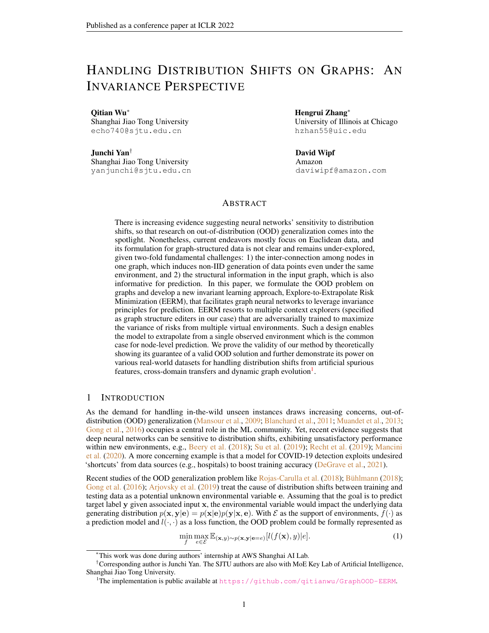<span id="page-16-0"></span>Lemma 1. *The two conditions in Assumption [1](#page-3-2) can be equivalently expressed as 1) (Invariance):*  $I(\mathbf{y};\mathbf{e}|\mathbf{r}) = 0$  *and 2)* (Sufficiency):  $I(\mathbf{y};\mathbf{r})$  *is maximized.* 

*Proof.* For the invariance, we can easily arrive at the equivalence given the fact

$$
I(\mathbf{y};\mathbf{e}|\mathbf{r}) = D_{KL}(p(\mathbf{y}|\mathbf{e}, \mathbf{r}) \| p(\mathbf{y}|\mathbf{r})).
$$
\n(14)

For the sufficiency, we first prove that for  $(G_v, r, y)$  satisfying that  $y = c^*(r) + n$  would also satisfy that  $\mathbf{r} = \arg \max_{\mathbf{r}} I(\mathbf{y}; \mathbf{r})$ . We prove it by contradiction. Suppose that  $\mathbf{r} \neq \arg \max_{\mathbf{r}} I(\mathbf{y}; \mathbf{r})$  and  $\mathbf{r}' = \arg \max_{\mathbf{r}} I(\mathbf{y}; \mathbf{r})$  where  $r' \neq r$ . Then there exists a random variable  $\mathbf{\bar{r}}$  such that  $\mathbf{r}' = m(\mathbf{r}, \mathbf{\bar{r}})$ where m is a mapping function. We thus have  $I(\mathbf{y}; \mathbf{r}') = I(\mathbf{y}; \mathbf{r}, \overline{\mathbf{r}}) = I(c^*(\mathbf{r}); \mathbf{r}, \overline{\mathbf{r}}) = I(c^*(\mathbf{r}); \mathbf{r}) =$  $I(\mathbf{y}; \mathbf{r})$  which leads to contradiction.

We next prove that for  $(G_v, r, v)$  satisfying that  $r = \arg \max_r I(v; r)$  would also satisfy that  $y = c^*(\mathbf{r}) + \mathbf{n}$ . Suppose that  $y \neq c^*(\mathbf{r}) + \mathbf{n}$  and  $y = c^*(\mathbf{r}') + \mathbf{n}$  where  $\mathbf{r}' \neq \mathbf{r}$ . We then have the relationship  $I(c^{\tilde{*}}(\mathbf{r}'); \mathbf{r}) \leq I(c^{\tilde{*}}(\mathbf{r}'); \mathbf{r}')$  which yields that  $\mathbf{r}' = \arg \max_{\mathbf{r}} I(\mathbf{y}; \mathbf{r})$  and leads to contradiction. П

Given the dependency relationship  $z \leftarrow G_v \rightarrow y$ , we have the fact that  $\max_{q(z|G_v)} I(y, z)$  is equivalent to  $\min_{q(\mathbf{z}|\mathbf{G_v})} I(\mathbf{y}, \mathbf{G_v}|\mathbf{z})$ . Also, we have (treating  $q(\mathbf{y}|\mathbf{z})$  as a variational distribution)

$$
I(\mathbf{y}, \mathbf{G}_{\mathbf{v}}|\mathbf{z}) = D_{KL}(p(\mathbf{y}|\mathbf{G}_{\mathbf{v}}, \mathbf{e})||p(\mathbf{y}|\mathbf{z}, \mathbf{e}))
$$
  
=  $D_{KL}(p(\mathbf{y}|\mathbf{G}_{\mathbf{v}}, \mathbf{e})||q(\mathbf{y}|\mathbf{z})) - D_{KL}(p(\mathbf{y}|\mathbf{z}, \mathbf{e})||q(\mathbf{y}|\mathbf{z}))$  (15)  
 $\leq D_{KL}(p(\mathbf{y}|\mathbf{G}_{\mathbf{v}}, \mathbf{e})||q(\mathbf{y}|\mathbf{z})).$ 

Based on this, we have the inequality

$$
I(\mathbf{y}, \mathbf{G}_{\mathbf{v}}|\mathbf{z}) \le \min_{q(\mathbf{y}|\mathbf{z})} D_{KL}(p(\mathbf{y}|\mathbf{G}_{\mathbf{v}}, \mathbf{e}) || q(\mathbf{y}|\mathbf{z})).
$$
\n(16)

Also, we have (according to our definition in Eq. [6\)](#page-5-2)

$$
D_{KL}(p(\mathbf{y}|\mathbf{G}_{\mathbf{v}},\mathbf{e})||q(\mathbf{y}|\mathbf{z}))
$$
\n
$$
= \mathbb{E}_{\mathbf{e}}\mathbb{E}_{G\sim p_{e}(\mathbf{G})}\frac{1}{V}\sum_{v\in V}\mathbb{E}_{y_{v}\sim p_{e}(\mathbf{y}|\mathbf{G}_{\mathbf{v}}=G_{v})}\mathbb{E}_{z_{v}\sim q(\mathbf{z}|\mathbf{G}_{\mathbf{v}}=G_{v})}\log\frac{p_{e}(\mathbf{y}=y_{v}|\mathbf{G}_{\mathbf{v}}=G_{v})}{q(\mathbf{y}=y_{v}|\mathbf{z}=z_{v})} + \frac{1}{\mathbb{E}_{g}\mathbb{E}_{G\sim p_{e}(\mathbf{G})}\frac{1}{V}\sum_{v\in V}\mathbb{E}_{y_{v}\sim p_{e}(\mathbf{y}|\mathbf{G}_{\mathbf{v}}=G_{v})}\log\frac{p_{e}(\mathbf{y}=y_{v}|\mathbf{G}_{\mathbf{v}}=G_{v})}{\mathbb{E}_{z_{v}\sim q(\mathbf{z}|\mathbf{G}_{\mathbf{v}}=G_{v})}[q(\mathbf{y}=y_{v}|\mathbf{z}=z_{v})]},
$$
\n(17)

where the second step is according to Jensen Inequality and the equality holds if  $q(\mathbf{z}|\mathbf{G_v})$  is a delta distribution (induced by the GNN encoder h). Then the problem  $\min_{q(\mathbf{z}|\mathbf{G}_{\mathbf{v}}),q(\mathbf{y}|\mathbf{z})} D_{KL}(p(\mathbf{y}|\mathbf{G}_{\mathbf{v}},\mathbf{e})||q(\mathbf{y}|\mathbf{z}))$  can be equivalently converted into

$$
\min_{f} \mathbb{E}_{\mathbf{e}} \frac{1}{|V_e|} \bigvee_{v \in V_e} l(f(G_v^e), y_v^e) \bigg| = \min_{f} \mathbb{E}_{\mathbf{e}}[L(G^e, Y^e; f)]. \tag{18}
$$

We thus have proven that minimizing the expectation term in Eq.  $4$  is to minimize the upper bound of  $I(\mathbf{y}, \mathbf{G}_{\mathbf{v}}|\mathbf{z})$  and contributes to  $\max_{q(\mathbf{z}|\mathbf{G}_{\mathbf{v}})} I(\mathbf{y}, \mathbf{z})$ .

Second, we have

$$
I(\mathbf{y};\mathbf{e}|\mathbf{z})
$$
  
\n
$$
=D_{KL}(p(\mathbf{y}|\mathbf{z},\mathbf{e})||p(\mathbf{y}|\mathbf{z}))
$$
  
\n
$$
=D_{KL}(p(\mathbf{y}|\mathbf{z},\mathbf{e})||\mathbb{E}_{\mathbf{e}}[p(\mathbf{y}|\mathbf{z},\mathbf{e})])
$$
  
\n
$$
=D_{KL}(q(\mathbf{y}|\mathbf{z})||\mathbb{E}_{\mathbf{e}}[q(\mathbf{y}|\mathbf{z})]) - D_{KL}(q(\mathbf{y}|\mathbf{z})||p(\mathbf{y}|\mathbf{z},\mathbf{e})) - D_{KL}(\mathbb{E}_{\mathbf{e}}[p(\mathbf{y}|\mathbf{z},\mathbf{e})]||\mathbb{E}_{\mathbf{e}}[q(\mathbf{y}|\mathbf{z})])
$$
\n
$$
\leq D_{KL}(q(\mathbf{y}|\mathbf{z})||\mathbb{E}_{\mathbf{e}}[q(\mathbf{y}|\mathbf{z})]).
$$
\n(19)

Besides, we have (according to the definition in Eq. [6\)](#page-5-2)

$$
D_{KL}(q(\mathbf{y}|\mathbf{z})||\mathbb{E}_{\mathbf{e}}[q(\mathbf{y}|\mathbf{z})])
$$
  
=
$$
\mathbb{E}_{\mathbf{e}}\mathbb{E}_{G \sim p_{e}(\mathbf{G})} \frac{1}{|V|} \sum_{v \in V}^{\times} \mathbb{E}_{y_{v} \sim p_{e}(\mathbf{y}|\mathbf{G}_{\mathbf{v}}=G_{V})} \mathbb{E}_{z_{v} \sim q(\mathbf{z}|\mathbf{G}_{\mathbf{v}}=G_{V})} \log \frac{q(\mathbf{y} = y_{v}|\mathbf{z} = z_{v})}{\mathbb{E}_{\mathbf{e}}[q(\mathbf{y} = y_{v}|\mathbf{z} = z_{v})]} + (20)
$$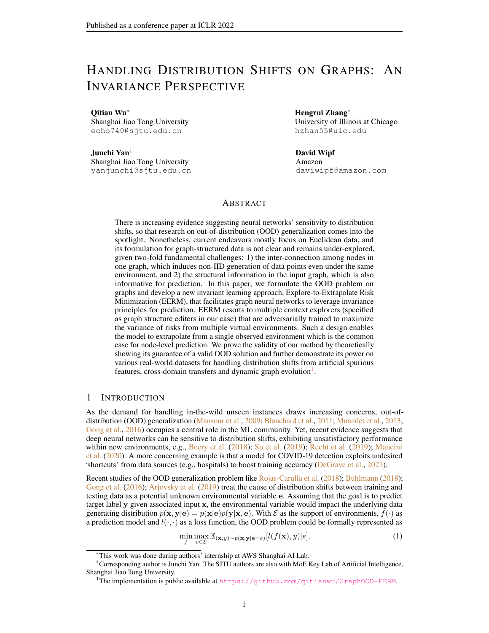Using Jensen Inequality, we will obtain that  $D_{KL}(q(y|z)||\mathbb{E}_{\mathbf{e}}[q(y|z)])$  is upper bounded by

$$
\mathbb{E}_{\mathbf{e}}[|L(G^e, Y^e; f) - \mathbb{E}_{\mathbf{e}}[L(G^e, Y^e; f)]|] = \mathbb{V}_{\mathbf{e}}[L(G^e, Y^e; f)].
$$
\n(21)

Hence we have proven that minimizing the variance term in Eq. [4](#page-4-1) plays a role for solving  $\min_{q(\mathbf{z}|\mathbf{G}_{\mathbf{v}})} I(\mathbf{y};\mathbf{e}|\mathbf{z}).$ 

#### D.2 PROOFS FOR THEOREM [2](#page-5-4)

With Lemma [1,](#page-16-0) we know that 1) the representation z (given by GNN encoder  $z = h(G_v)$ ) satisfies the invariant condition, i.e.,  $p(y|z) = p(y|z, e)$  if and only if  $I(y; e|z) = 0$  and 2) the representation **z** satisfies the sufficiency condition, i.e.,  $y = c^*(z) + n$  if and only if  $z = arg max_z I(y; z)$ .

We denote the GNN encoder that satisfies the invariance and sufficiency conditions as  $h^*$  and the corresponding predictor model  $f^*(\mathbf{G_v}) = \mathbb{E}_y[y|h^*(\mathbf{G_v})]$  with  $f^* = c^* \circ h^*$ . Since we assume the GNN encoder  $q(z|G_v)$  satisfies the conditions in Assumption [1,](#page-3-2) then according to Assumption [2,](#page-5-1) we know that there exists random variable  $\bar{z}$  such that  $G_v = m(z, \bar{z})$  and  $p(y|\bar{z}, e)$  would change arbitrarily across environments. Based on this, for any environment  $e$  that gives the distribution  $p_e(\mathbf{y}, \mathbf{z}, \overline{\mathbf{z}})$ , we can construct environment  $e'$  with the distribution  $p_{e'}(\mathbf{y}, \mathbf{z}, \overline{\mathbf{z}})$  that satisfies

<span id="page-17-0"></span>
$$
p_{e^{0}}(\mathbf{y}, \mathbf{z}, \overline{\mathbf{z}}) = p_{e}(\mathbf{y}, \mathbf{z}) p_{e^{0}}(\overline{\mathbf{z}}).
$$
 (22)

 $\overline{u}$ 

Then we follow the reasoning line of Theorem 2.1 in [Liu et al.](#page-10-5)  $(2021)$  to finish the proof by showing that for arbitrary function  $f = c \circ h$  and environment e, there exists an environment e' such that

$$
\mathbb{E}_{G \sim p_{e^{\theta}}(\mathbf{G})} \frac{1}{|V|} \sum_{v \in V}^{\mathcal{H}} \mathbb{E}_{y_{v} \sim p_{e^{\theta}}(\mathbf{y}|\mathbf{G}_{\mathbf{v}}=G_{v})} [l(f(G_{v}), y_{v})] +
$$
  
\n
$$
\geq \mathbb{E}_{G \sim p_{e}(\mathbf{G})} \frac{1}{|V|} \sum_{v \in V}^{\mathcal{H}} \mathbb{E}_{y \sim p_{e}(\mathbf{y}|\mathbf{G}_{\mathbf{v}}=G_{v})} [l(f^{*}(G_{v}), y_{v})] .
$$
\n(23)

Concretely we have

 $\mathbf{u}$ 

$$
\mathbb{E}_{G \sim p_{e^{\beta}}(\mathbf{G})} \frac{1}{|V|} \times \mathbb{E}_{(y_{v},z_{v},\overline{z}_{v}) \sim p_{e^{\beta}}(\mathbf{y},\mathbf{z},\overline{\mathbf{z}}|\mathbf{G}_{v} = G_{v})}[l(c(z_{v},\overline{z}_{v}),y_{v})] + \mathbb{E}_{G \sim p_{e^{\beta}}(\mathbf{G})} \frac{1}{|V|} \times \mathbb{E}_{\overline{z}_{v^{\beta}} \sim p_{e^{\beta}}(\overline{\mathbf{z}}|\mathbf{G}_{v} = G_{v^{\beta}})} \mathbb{E}_{G \sim p_{e^{\beta}}(\mathbf{G})} \frac{1}{|V|} \times \mathbb{E}_{(y_{v},z_{v}) \sim p_{e}(\mathbf{y},\mathbf{z}|\mathbf{G}_{v} = G_{v})}[l(c(z_{v},\overline{z}_{v^{\beta}}),y_{v})] + \mathbb{E}_{G \sim p_{e^{\beta}}(\mathbf{G})} \frac{1}{|V|} \times \mathbb{E}_{\overline{z}_{v^{\beta}} \sim p_{e^{\beta}}(\overline{\mathbf{z}}|\mathbf{G}_{v} = G_{v^{\beta}})} \mathbb{E}_{G \sim p_{e^{\beta}}(\mathbf{G})} \frac{1}{|V|} \times \mathbb{E}_{\overline{z}_{v^{\beta}} \sim p_{e^{\beta}}(\overline{\mathbf{z}}|\mathbf{G}_{v} = G_{v^{\beta}})} \mathbb{E}_{G \sim p_{e^{\beta}}(\mathbf{G})} \frac{1}{|V|} \times \mathbb{E}_{(y_{v},z_{v}) \sim p_{e}(\mathbf{y},\mathbf{z}|\mathbf{G}_{v} = G_{v})}[l(c^{*}(z_{v},\overline{z}_{v^{\beta}}),y_{v})] + \mathbb{E}_{G \sim p_{e^{\beta}}(\mathbf{G})} \frac{1}{|V|} \times \mathbb{E}_{\overline{z}_{v^{\beta}} \sim p_{e^{\beta}}(\overline{\mathbf{z}}|\mathbf{G}_{v} = G_{v^{\beta}})} \mathbb{E}_{G \sim p_{e^{\beta}}(\mathbf{G})} \frac{1}{|V|} \times \mathbb{E}_{(y_{v},z_{v}) \sim p_{e^{\beta}}(\mathbf{y},\mathbf{z}|\mathbf{G}_{v} = G_{v
$$

where the first equality is given by Eq. [22](#page-17-0) and the second/third steps are due to the sufficiency condition of  $h^*$ .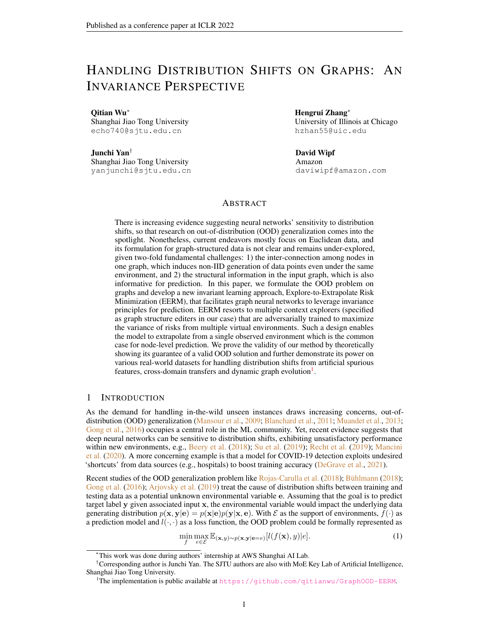## D.3 PROOF FOR THEOREM [3](#page-5-5)

Recall that according to our definition in Eq. [6,](#page-5-2) the KL divergence  $D_{KL}(p_e(\mathbf{y}|\mathbf{G_v})||q(\mathbf{y}|\mathbf{G_v}))$  would be  $\bar{\mathbf{u}}$ 

$$
D_{KL}(p_e(\mathbf{y}|\mathbf{G_v})||q(\mathbf{y}|\mathbf{G_v})) := \mathbb{E}_{G \sim p_e(\mathbf{G})} \left| \frac{1}{|V|} \right|_{v \in V}^{\times} \mathbb{E}_{y_v \sim p_e(\mathbf{y}|\mathbf{G_v} = G_v)} \log \frac{p_e(\mathbf{y} = y_v|\mathbf{G_v} = G_v)}{q(\mathbf{y} = y_v|\mathbf{G_v} = G_v)} \right|_{(25)}
$$

Based on this newly defined KL divergence, we can extend the information-theoretic framework [\(Federici et al.,](#page-10-11) [2021\)](#page-10-11) for analysis on graph data. First, we can decompose the training error (resp. OOD error) into a representation error and a latent predictive error.

<span id="page-18-0"></span>**Lemma 2.** *For any GNN encoder*  $q(\mathbf{z}|\mathbf{G_v})$  *and classifier*  $q(\mathbf{y}|\mathbf{z})$ *, we have* 

$$
D_{KL}(p_e(\mathbf{y}|\mathbf{G}_\mathbf{v})||q(\mathbf{y}|\mathbf{G}_\mathbf{v})) \le I_e(\mathbf{G}_\mathbf{v}; \mathbf{y}|\mathbf{z}) + D_{KL}(p_e(\mathbf{y}|\mathbf{z})||q(\mathbf{y}|\mathbf{z})),\tag{26}
$$

$$
D_{KL}(p_{e^{\theta}}(\mathbf{y}|\mathbf{G}_{\mathbf{v}})||q(\mathbf{y}|\mathbf{G}_{\mathbf{v}})) \leq I_{e^{\theta}}(\mathbf{G}_{\mathbf{v}};\mathbf{y}|\mathbf{z}) + D_{KL}(p_{e^{\theta}}(\mathbf{y}|\mathbf{z})||q(\mathbf{y}|\mathbf{z})).
$$
\n(27)

*Proof.* Firstly, we have

$$
D_{KL}(p_e(\mathbf{y}_i|\mathbf{G}_\mathbf{v}))||q(\mathbf{y}|\mathbf{G}_\mathbf{v}))
$$
\n
$$
= \mathbb{E}_{G \sim p_e(\mathbf{G})} \frac{1}{|V|} \times \mathbb{E}_{y_v \sim p_e(\mathbf{y}|\mathbf{G}_\mathbf{v} = G_v)} \log \frac{p_e(\mathbf{y} = y_v|\mathbf{G}_\mathbf{v} = G_v)}{q(\mathbf{y} = y_v|\mathbf{G}_\mathbf{v} = G_v)} + \mathbb{E}_{G \sim p_e(\mathbf{G})} \frac{1}{|V|} \times \mathbb{E}_{y_v \sim p_e(\mathbf{y}|\mathbf{G}_\mathbf{v} = G_v)} \log \frac{p_e(\mathbf{y} = y_v|\mathbf{G}_\mathbf{v} = G_v)}{\mathbb{E}_{z_v \sim q(\mathbf{z}|\mathbf{G}_\mathbf{v} = G_v)q(\mathbf{y} = y_v|\mathbf{z} = z_v)} + \mathbb{E}_{G \sim p_e(\mathbf{G})} \frac{1}{|V|} \times \mathbb{E}_{y_v \sim p_e(\mathbf{y}|\mathbf{G}_\mathbf{v} = G_v)} \mathbb{E}_{z_v \sim q(\mathbf{z}|\mathbf{G}_\mathbf{v} = G_v)} \log \frac{p_e(\mathbf{y} = y_v|\mathbf{G}_\mathbf{v} = G_v)}{q(\mathbf{y} = y_v|\mathbf{z} = z_v)} + \mathbb{E}_{B \sim p_e(\mathbf{G})} \log \frac{p_e(\mathbf{y} = y_v|\mathbf{G}_\mathbf{v} = G_v)}{q(\mathbf{y} = y_v|\mathbf{z} = z_v)} + \mathbb{E}_{B \sim p_e(\mathbf{G})} \log \frac{p_e(\mathbf{y} = y_v|\mathbf{G}_\mathbf{v} = G_v)}{q(\mathbf{y} = y_v|\mathbf{z} = z_v)} \tag{28}
$$

where the third step is again due to Jensen Inequality and the equality holds once  $q(z|G_v)$  is a delta distribution.

Besides, we have

$$
D_{KL}(p_e(\mathbf{y}_i|\mathbf{G}_\mathbf{v})||q(\mathbf{y}|\mathbf{z}))
$$
\n
$$
= \mathbb{E}_{G \sim p_e(\mathbf{G})} \frac{1}{|V|} \sum_{v \in V}^{\mathbb{E}} \mathbb{E}_{y_v \sim p_e(\mathbf{y}|\mathbf{G}_\mathbf{v} = G_V)} \mathbb{E}_{z_v \sim q(\mathbf{z}|\mathbf{G}_\mathbf{v} = G_V)} \log \frac{p_e(\mathbf{y} = y_v|\mathbf{G}_\mathbf{v} = G_v)}{q(\mathbf{y} = y_v|\mathbf{z} = z_v)}
$$
\n
$$
= \mathbb{E}_{G \sim p_e(\mathbf{G})} \frac{1}{|V|} \sum_{v \in V}^{\mathbb{E}} \mathbb{E}_{y_v \sim p_e(\mathbf{y}|\mathbf{G}_\mathbf{v} = G_V)} \mathbb{E}_{z_v \sim q(\mathbf{z}|\mathbf{G}_\mathbf{v} = G_V)} \log \frac{p_e(\mathbf{y} = y_v|\mathbf{G}_\mathbf{v} = G_v)p_e(\mathbf{y} = y_v|\mathbf{z} = z_v)}{p_e(\mathbf{y} = y_v|\mathbf{z} = z_v)q(\mathbf{y} = y_v|\mathbf{z} = z_v)}
$$
\n
$$
= I(\mathbf{G}_\mathbf{v}; \mathbf{y}|\mathbf{z}) + D_{KL}(p_e(\mathbf{y}|\mathbf{z})||q(\mathbf{y}|\mathbf{z})).
$$
\n(29)

The result for  $D_{KL}(p_e\text{O}(\mathbf{y}|\mathbf{G_v})||q(\mathbf{y}|\mathbf{G_v}))$  can be obtained in a similar way.

<span id="page-18-1"></span>**Lemma 3.** For any  $q(z|G_v)$  and  $q(y|z)$ , the following inequality holds for any z satisfying  $p(z =$  $|z| \mathbf{e} = e$ ) > 0,  $\forall e \in \mathcal{E}$ .

$$
D_{JSD}(p_e\circ(\mathbf{y}|\mathbf{z})||q(\mathbf{y}|\mathbf{z})) \leq \sum_{\mathbf{z}} \frac{1}{2\alpha} I(\mathbf{y};\mathbf{e}|\mathbf{z}) + \sum_{\mathbf{z}} \frac{1}{2} D_{KL}(p_e(\mathbf{y}|\mathbf{z})||q(\mathbf{y}|\mathbf{z})) \quad . \tag{30}
$$

*Proof.* The proof can be adapted by from the Proposition 3 in [Federici et al.](#page-10-11) [\(2021\)](#page-10-11) by replacing e in our case with t.

 $\Box$ 

 $\Box$ 

.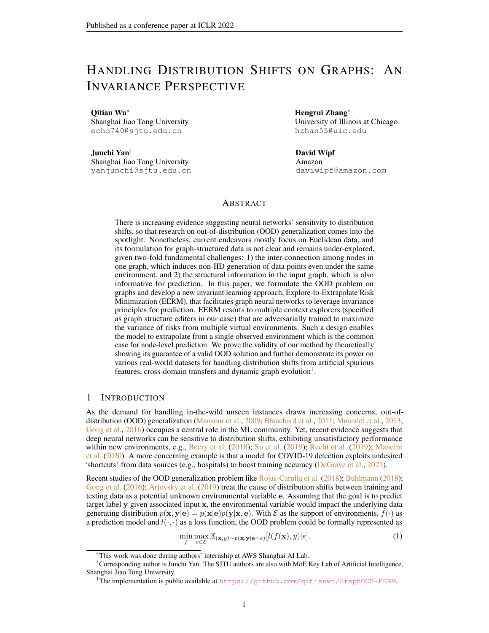| Dataset     | #Nodes | #Edges | #Density | Avg Degree | Max Degree |
|-------------|--------|--------|----------|------------|------------|
| DE          | 9498   | 153138 | 0.0033   | 16         | 3475       |
| <b>ENGB</b> | 7126   | 35324  | 0.0013   | 4          | 465        |
| ES          | 4648   | 59382  | 0.0054   | 12         | 809        |
| <b>FR</b>   | 6549   | 112666 | 0.0052   | 17         | 1517       |
| <b>PTBR</b> | 1912   | 31299  | 0.0171   | 16         | 455        |
| <b>RU</b>   | 4385   | 37304  | 0.0038   | 8          | 575        |
| TW          | 2772   | 63462  | 0.0165   | 22         | 1171       |

<span id="page-19-3"></span>Table 4: Statistic information for Twitch-Explicit datasets.

The results of Lemma [2](#page-18-0) and [3](#page-18-1) indicate that if we aim to reduce the OOD error measured by  $D_{KL}(p_e o(\mathbf{y}|\mathbf{G_v}) || q(\mathbf{y}|\mathbf{G_v})$ , one need to control three terms: 1)  $I_e(\mathbf{G_v}; \mathbf{y}|\mathbf{z})$ , 2)  $D_{KL}(p_e(y|z)||q(y|z))$  and 3)  $I(y; e|z)$ . The next lemma unifies minimization for the first two terms.

<span id="page-19-2"></span>**Lemma 4.** *For any*  $q(\mathbf{z}|\mathbf{G_v})$  *and*  $q(\mathbf{y}|\mathbf{z})$ *, we have* 

$$
\min_{q(\mathbf{z}|\mathbf{G}_{\mathbf{v}}),q(\mathbf{y}|\mathbf{z})} D_{KL}(p_e(\mathbf{y}|\mathbf{G}_{\mathbf{v}})||q(\mathbf{y}|\mathbf{z})) \Leftrightarrow \min_{q(\mathbf{z}|\mathbf{G}_{\mathbf{v}})} I_e(\mathbf{G}_{\mathbf{v}};\mathbf{y}|\mathbf{z}) + \min_{q(\mathbf{y}|\mathbf{z})} D_{KL}(p_e(\mathbf{y}|\mathbf{z})||q(\mathbf{y}|\mathbf{z})).
$$
\n(31)

*Proof.* Recall that  $q(y|z)$  is a variational distribution. We have

$$
I_e(\mathbf{G_v}; \mathbf{y}|\mathbf{z}) = D_{KL}(p_e(\mathbf{y}|\mathbf{G_v})||p_e(\mathbf{y}|\mathbf{z})))
$$
  
=  $D_{KL}(p_e(\mathbf{y}|\mathbf{G_v})||q(\mathbf{y}|\mathbf{z})) - D_{KL}(p_e(\mathbf{y}|\mathbf{z})||q(\mathbf{y}|\mathbf{z}))$   
 $\leq D_{KL}(p_e(\mathbf{y}|\mathbf{G_v})||q(\mathbf{y}|\mathbf{z})).$  (32)

Therefore, we can see that  $I_e(\mathbf{G_v}; \mathbf{y}|\mathbf{z})$  is upper bounded by  $D_{KL}(p_e(\mathbf{y}|\mathbf{G_v}||q(\mathbf{y}|\mathbf{z}))$  and the equality holds if and only if  $D_{KL}(p_e(\mathbf{y}|\mathbf{z})||q(\mathbf{y}|\mathbf{z})) = 0$ . We thus conclude the proof.  $\Box$ 

Recall that according to Lemma [1](#page-16-0) we have the fact that our objective in Eq. [4](#page-4-1) essentially has the similar effect as

$$
\min_{q(\mathbf{z}|\mathbf{G}_{\mathbf{v}}), q(\mathbf{y}|\mathbf{z})} D_{KL}(p_e(\mathbf{y}|\mathbf{G}_{\mathbf{v}}) || q(\mathbf{y}|\mathbf{z})) + I(\mathbf{y}; \mathbf{e}|\mathbf{z}).
$$
\n(33)

Based on the Lemma [2,](#page-18-0) [3](#page-18-1) and [4,](#page-19-2) we know that optimization for the objective Eq. [4](#page-4-1) can reduce the upper bound of OOD error given by  $D_{KL}(p_{e^{\theta}}(y|\mathbf{G_v})||q(y|\mathbf{G_v})$  on condition that  $I_{e^{\theta}}(\mathbf{G_v};\mathbf{y}|\mathbf{z})=$  $I_e(\mathbf{G_v}; \mathbf{y}|\mathbf{z})$ . We conclude our proof for Theorem [3.](#page-5-5)

## <span id="page-19-0"></span>E DATASETS AND EVALUATION PROTOCOLS

In this section, we introduce the detailed information for experimental datasets and also provide the details for our evaluation protocols including data preprocessing, dataset splits and the ways for calculating evaluation metrics. In the following subsections, we present the information for the three scenarios, respectively.

#### <span id="page-19-1"></span>E.1 ARTIFICIAL DISTRIBUTION SHIFTS ON CORA AND AMAZON-PHOTO

Cora and Amazon-Photo are two commonly used node classification benchmarks and widely adopted for evaluating the performance of GNN designs. These datasets are of medium size with thousands of nodes. See Table [1](#page-6-0) for more statistic information. Cora is a citation network where nodes represent papers and edges represent their citation relationship. Amazon-Photo is a copurchasing network where nodes represent goods and edges indicate that two goods are frequently bought together. In the original dataset, the available node features have strong correlation with node labels. To evaluate model's ability for out-of-distribution generalization, we need to introduce distribution shifts into the training and testing data.

For each dataset, we use the provided node features to construct node labels and spurious environmentsensitive features. Specifically, assume the provided node features as  $X_1$ . Then we adopt a randomly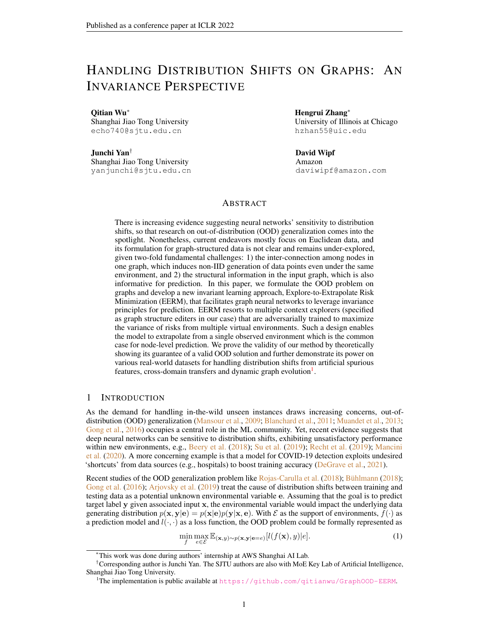<span id="page-20-0"></span>

Figure 6: Comparison of different leave-out data on Twitch-Explicit. We consider three GNN backbones trained with ERM. The "OOD" means that we train the model on one graph DE and report the metric on another graph ENGB. The "IID" means that we train the model on 90% nodes of DE and report the metric on the remaining nodes. The results clearly show that the model performance suffers a significantly drop from the case "IID" to the case "OOD". This indicates that the graph-level splitting for training/validation/testing splits used in Section [5.2](#page-7-3) indeed introduces distribution shifts and would require the model to deal with out-of-distribution data during test.

initialized GNN (with input of  $X_1$  and adjacency matrix) to generate node labels Y (via taking an argmax in the output layer to obtain one-hot vectors), and another randomly initialized GNN (with input of the concatenation of Y and an environment id) to generate spurious node features  $X_2$ . After that, we concatenate two portions of features  $X = [X_1, X_2]$  as input node features for training and evaluation. In this way, we construct ten graphs with different environment id's for each dataset. We use one graph for training, one for validation and report the classification accuracy on the remaining graphs. One may realize that this data generation is a generalized version of our motivating example in Section [3.1](#page-3-3) and we replace the linear aggregation as a randomly initialized graph neural network to introduce non-linearity.

In fact, with our data generation, the original node features  $X_1$  can be seen as domain-invariant features that are sufficiently predictive for node labels and insensitive to different environments, while the generated features  $X_2$  are domain-variant features that are conditioned on environments. Therefore, in principle, the ideal case for the model is to identify and leverage the invariant features for prediction. In practice, there exist multiple factors that may affect model's learning, including the local optimum and noise in data. Therefore, one may not expect the model to exactly achieve the ideal case since there also exists useful predictive information in  $X_2$  that may help the model to increase the training accuracy. Yet, through our experiments in Fig. [2\(](#page-6-1)b) and [3\(](#page-6-2)b), we show that the reliance of EERM on spurious features is much less than ERM, which we believe could serve as concrete evidence that our approach is capable for guiding the GNN model to alleviate reliance on domain-variant features.

## E.2 CROSS-DOMAIN TRANSFERS ON MULTI-GRAPH DATA

A typical scenario for distribution shifts on graphs is the problem of cross-domain transfers. There are quite a few real-world situations where one has access to multiple observed graphs each of which is from a specific domain. For example, in social networks, the domains can be instantiated as where or when the networks are collected. In protein networks, there may exist observed graph data (protein-protein interactions) from distinct species which can be seen as distinct domains. In short, since most of graph data records the relational structures among a specific group of entities and the interactions/relationships among entities from different groups often have distinct characteristics, the data-generating distributions would vary across groups, which bring up domain shifts.

Yet, to enable transfer learning across graphs, the graphs in one dataset need to share the same input feature space and output space. We adopt two public datasets Twitch-Explicit and Facebook-100 that satisfy this requirement.

Twitch-Explicit contains seven networks where nodes represent Twitch users and edges represent their mutual friendships. Each network is collected from a particular region, including DE, ENGB, ES, FR, PTBR, RU and TW. These seven networks have similar sizes and different densities and maximum node degrees, as shown in Table [4.](#page-19-3) Also, in Fig. [6,](#page-20-0) we compare the ROC-AUC results on different leave-out data. We consider GCN, GAT and GCNII as the GNN backbones and train the model with standard empirical risk minimization (ERM). We further consider two ways for data splits. In the first case, which we call "OOD", we train the model on the nodes of one graph DE and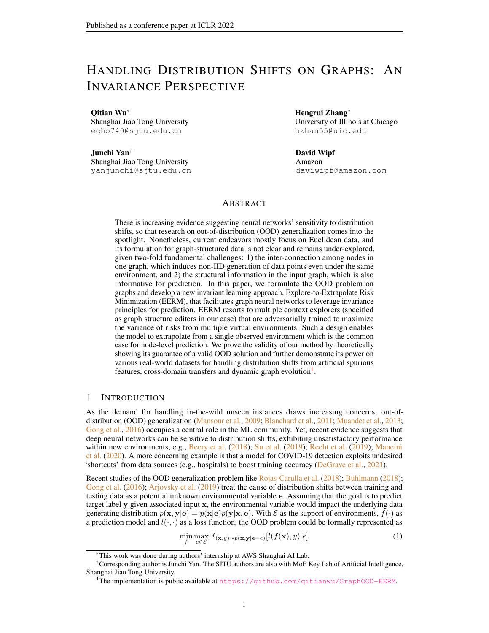<span id="page-21-0"></span>

Figure 7: Comparison of node numbers, densities and maximum node degrees of fourteen graphs used in our experiments on Facebook-100. The index 0-13 stand for John Hopkins, Caltech, Amherst, Bingham, Duke, Princeton, WashU, Brandeis, Carnegie, Cornell, Yale, Penn, Brown and Texas, respectively. As we can see, these graphs have very distinct statistics, which indicates that there exist distribution shifts w.r.t. graph structures.

report the highest ROC-AUC on the nodes of another graph ENGB. In the second case, which we call "IID", we train the model on 90% nodes of DE and evaluate the performance on the leave-out 10% data. The results in Fig. [6](#page-20-0) show that the model performance exhibits a clear drop from "IID" to "OOD", which indicates that there indeed exist distribution shifts among different input graphs. This also serves as a justification for our evaluation protocol in Section [5.2](#page-7-3) where we adopt the graph-level splitting to construct training/validation/testing sets.

Another dataset is Facebook-100 which consists of 100 Facebook friendship network snapshots from the year 2005, and each network contains nodes as Facebook users from a specific American university. We adopt fourteen networks in our experiments: John Hopkins, Caltech, Amherst, Bingham, Duke, Princeton, WashU, Brandeis, Carnegie, Cornell, Yale, Penn, Brown and Texas. Recall that in Section [5.2](#page-7-3) we use Penn, Brown and Texas for testing, Cornell and Yale for validation, and use three different combinations from the remaining graphs for training. These graphs have significantly diverse sizes, densities and degree distributions. In Fig. [7](#page-21-0) we present a comparison which indicates that the distributions of graph structures among these graphs are different. Concretely, the testing graphs Penn and Texas are much larger (with 41554 and 31560 nodes, respectively) than training/validation graphs (most with thousands of nodes). Also, the training graphs Caltech and Amherst are much denser than other graphs in the dataset, while some graphs like Penn have nodes with very large degrees. These statistics suggest that our evaluation protocol requires the model to handle different graph structures from training/validation to testing data.

## E.3 TEMPORAL EVOLUTION ON DYNAMIC GRAPH DATA

Another common scenario is for temporal graphs that dynamically evolve as time goes by. The types of evolution can be generally divided into two categories. In the first case, there are multiple graph snapshots and each snapshot is taken at one time. As time goes by, there exists a sequence of graph snapshots which may contain different node sets and data distributions. Typical examples include financial networks that record the payment flows among transactions within different time intervals. In the second case, there is one graph that evolves with node/edge adding or deleting. Typical examples include some large-scale real-world graphs like social networks and citation networks where the distribution for node features, edges and labels would have strong correlation with time (in different scales). We adopt two public real-world datasets Elliptic and OGB-Arxiv for node classification experiments.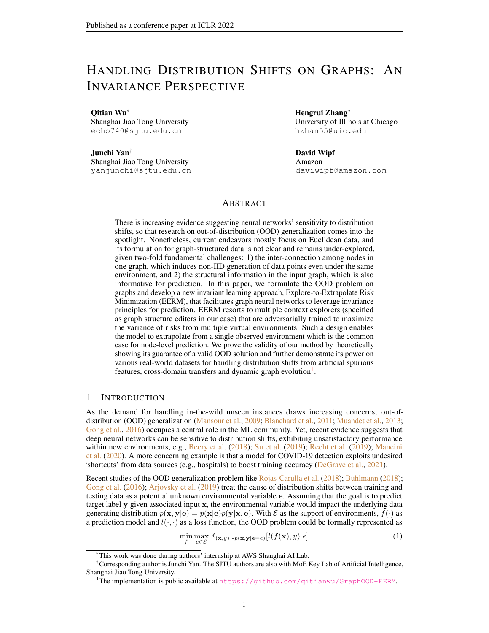<span id="page-22-1"></span>

Figure 8: The label rates and positive label rates of training/validation/testing data splits of Elliptic. The positive class (illicit transaction) and negative class (licit transaction) are very imbalanced. Also, in different splits, the distributions for labels exhibit clear differences.

Elliptic contains a sequence of 49 graph snapshots. Each graph snapshot is a network of Bitcoin transactions where each node represents one transaction and each edge indicates a payment flow. Approximately 20% of the transactions are marked with licit or illicit ones and the goal is to identify illicit transaction in the future observed network. Since in the original dataset, the first six snapshots have extremely imbalanced classes (where the illicit transactions are less than 10 among thousands of nodes), we remove them and use the 7th-11th/12th-17th/17th-49th snapshots for training/validation/testing. Also, due to the fact that each graph snapshot has very low positive label rate, we group the 33 testing graph snapshots into 9 test sets according to the chronological order. In Fig. [8](#page-22-1) we present the label rate and positive label rate for training/validation/testing sets. As we can see, the positive label rates are quite different in different data sets. Indeed, the model needs to handle distinct label distributions from training to testing data.

OGB-Arxiv is composed of 169,343 Arxiv CS papers from 40 subject areas and their citation relationship. The goal is to predict a paper's subject area. In [\(Hu et al.,](#page-10-7) [2020\)](#page-10-7), the papers published before 2017, on 2018 and since 2019 are used for training/validation/testing. Also, the authors adopt the transductive learning setting, i.e., the nodes in validation and test sets also exist in the graph for training. In our case, we instead adopt inductive learning setting where the nodes in validation and test sets are unseen during training, which is more akin to the real-world situation. Besides, for better evaluation on generalization, especially extrapolating to new data, we consider dataset splits with a larger year gap: we use papers published before 2011 for training, from 2011 to 2014 for validation, and after 2014 for test. Such a dataset splitting way would introduce distribution shift between training and testing data, since several latent influential factors (e.g., the popularity of research topics) for data generation would change over time. In Fig. 9, we visualize the T-SNE embeddings of the nodes and mark the training/validation/testing nodes with different colors. From Fig. 9(a) to Fig. 9(c), we can see that testing nodes non-overlapped with the training/validation ones exhibit an increase, which suggests that the distribution shifts enlarge as time difference goes large. This phenomenon echoes the results we achieve in Table [3](#page-7-2) where we observe that as the time difference between testing and training data goes larger, model performance suffers a clear drop, with ERM suffering more than EERM.

# <span id="page-22-0"></span>F IMPLEMENTATION DETAILS

In this section, we present the details for our implementation in Section [5](#page-5-0) including the model architectures, hyper-parameter settings and training details in order for reproducibility. Most of our experiments are run on GeForce RTX 2080Ti with 11GB except some experiments requiring large GPU memory for which we adopt RTX 8000 with 48GB. The configurations of our environments and packages are listed below:

- Ubuntu 16.04
- CUDA 10.2
- PYTHON 3.7
- Numpy 1.20.3
- PyTorch 1.9.0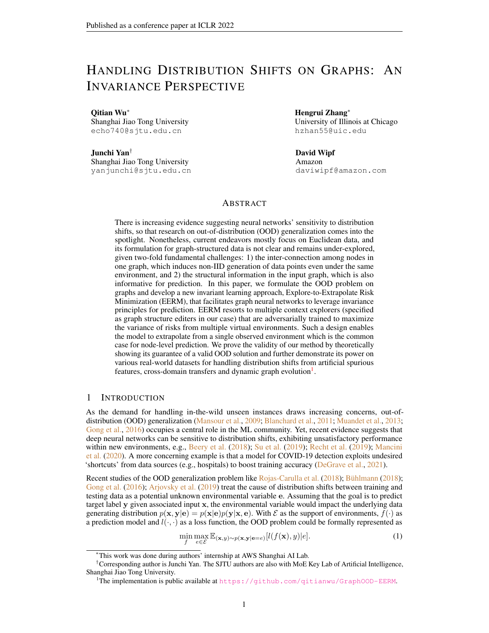Figure 9:T-SNE visualization of training/validation/testing nodes OrGB-Arxiv . We mark training nodes (within 1950-2011) and validation nodes (within 2011-2014) as red and blue, respectively. In (a)-(c), the test nodes within different time intervals are visualized as yellow points. We can see that as the time difference of testing data and training/validation data goes large from (a) to (c), the testing nodes non-overlapped with training/validation ones become more, which suggests that the distribution shifts become more signi cant and require the model to extrapolate to more dif cult future data.

• PyTorch Geometric 1.7.2

## F.1 MODEL ARCHITECTURES

In our experiments in Section 5, we adopt different GNN architectures as the backbone. Here we introduce the details for them.

GCN. We use theGCNConvavailable in Pytorch Geometric for implementation. The detailed architecture description is as below:

- A sequence of L-layer GCNConv.
- Add self-loop and use batch normalization for graph convolution in each layer.
- Use ReLU as the activation.

GAT. We use theGATConv available in Pytorch Geometric for implementation. The detailed architecture description is as below: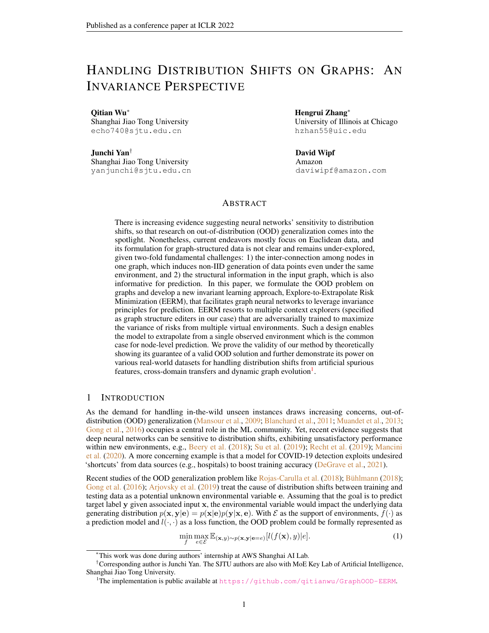- A sequence of L-layer GATConvwith head number H.
- Add self-loop and use batch normalization for graph convolution in each layer.
- Use ELU as the activation.

GraphSAGE. We use theSAGEConvavailable in Pytorch Geometric for implementation. The detailed architecture description is as below:

- A sequence of L-layer SAGEConv.
- Add self-loop and use batch normalization for graph convolution in each layer.
- Use ReLU as the activation.

GCNII. We use the implementation provided by the original paper (Chen et al., 2020a). The associated hyper-parameters in GCNII model are set  $gg_{\text{VII}} = 0.1$  and  $_{\text{GCNII}} = 1:0$ .

GPRGNN. We use the implementation provided by Chien et al. (2021). We adopt **the Regulation** ization andGPRprop as the propagation unit. The associated hyper-parameters in GPRGNN model are set as:  $GPRGNN = 0.1$ .

## F.2 HYPER PARAMETER SETTINGS

The hyper-parameters for model architectures are set as default values in different cases. Other hyperparameters are searched with grid search on validation dataset. The searching space are as follows: learning rate for GNN backbone 2 f 0:0001; 0:0002 0:001; 0:005; 0:01g, learning rate for graph editers  $_{9}$  2 f 0:0001; 0:001; 0:005; 0:01g, weight for combination 2 f 0:2; 0:5; 1:0; 2:0; 3:0g, number of edge editing for each node  $f$  1; 5; 10g, number of iterations for inner update before one-step outer update  $2 f 1$ ; 5g.

## F.2.1 **SETTINGS FORSECTION 5.1**

We consider 2-layer GCN with hidden size 32. We use weight decay with coef cient set as 1e-3. Besides, we set<sub>q</sub> =  $0:005$ ,  $f = 0:01$ , =  $2:0$ , s =  $5$ , T = 1.

## F.2.2 SETTINGS FORSECTION 5.2

For GCN, we set the layer number as 2. For GAT, we set  $= 2$  and  $H = 4$ . For GCNII, we set the layer number as 10. We use hidden size 32 and weight decay with coef cient set as 1e-3.

For Twitch-Explicit , other hyper-parameters are set as follows:

- GCN:  $_q = 0.001$ ,  $f = 0.01$ ,  $f = 3.0$ ,  $s = 5$ ,  $T = 1$ .
- GAT:  $a = 0:005$ ,  $f = 0:01$ ,  $f = 1:0$ ,  $s = 5$ ,  $T = 1$ .
- GCNII:  $a = 0.01$ ,  $f = 0.001$ ,  $f = 1.0$ ,  $s = 5$ ,  $T = 1$ .

For Facebook-100, other hyper-parameters are set  $a_i = 0:005$ ,  $f = 0:01$ ,  $f = 1:0$ ,  $s = 5$ ,  $T = 1.$ 

## F.2.3 SETTINGS FORSECTION 5.3

For GraphSAGE and GPRGNN, we set the layer number as 5 and hidden size as 32.

ForElliptic , other hyper-parameters are set as follows:

- GraphSAGE:  $_0 = 0.0001$ ,  $_1 = 0.0002$  = 1.0, s = 5, T = 1.
- GPRGNN:  $a = 0:005$ ,  $f = 0:01$ ,  $f = 1:0$ ,  $s = 5$ ,  $T = 1$ .

ForOGB-Arxiv , other hyper-parameters are set as follows:

<sup>4</sup> https://github.com/chennnM/GCNII 5 https://github.com/jianhao2016/GPRGNN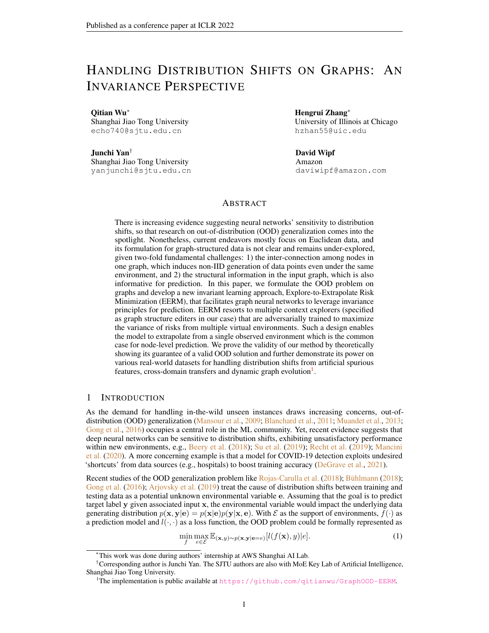- GraphSAGE:  $_q = 0.01$ ,  $f = 0.005$ ,  $= 0.5$ ,  $s = 1$ ,  $T = 5$ .
- GPRGNN:  $_q = 0.001$ ,  $_f = 0.01$ ,  $= 1.0$ ,  $s = 1$ ,  $T = 5$ .

# F.3 TRAINING DETAILS

For each method, we train the model with a xed number of epochs and report the test result achieved at the epoch when the model provides the best performance on validation set.

# G MORE EXPERIMENT RESULTS

We provide additional experiment results in this section. In Fig.10 and 11 we present the distribution of test accuracy of ora when using SGC and GAT, respectively, as the GNNs for data generation. In Fig. 12 and 13 we further compare with the training accuracy using all the features and removing the spurious ones for inference. These results are consistent with those presented in Section 5.1, which again veri es the effectiveness of our approach. Besides, the corresponding extra results on Photo are shown in Fig. 14, 15, 16 and 17, which also back up our discussions in Section 5.1.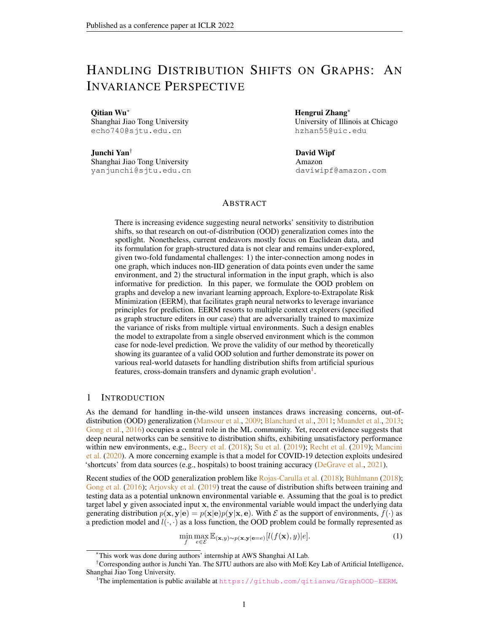Figure 10: Distribution of test accuracy results@ora with arti cial distribution shifts generated by SGC as the GNN generator.

Figure 11: Distribution of test accuracy results Cora with arti cial distribution shifts generated by GAT as the GNN generator.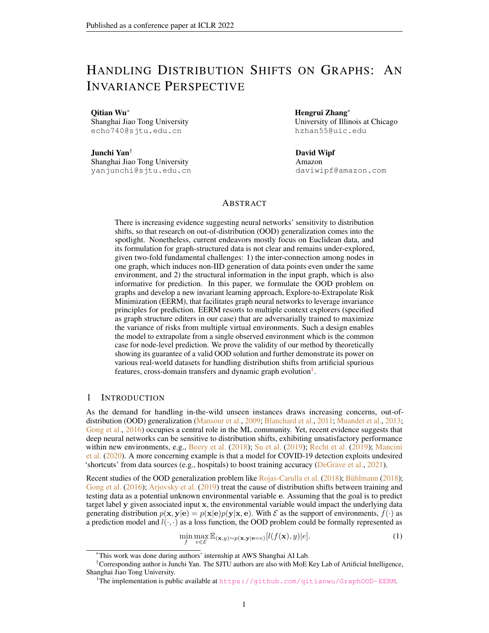Figure 12: Comparison of training accuracy using all the features v.s. removing the spurious features for inference orCora with arti cial distribution shifts generated by SGC as the GNN generator.

Figure 13: Comparison of training accuracy using all the features v.s. removing the spurious features for inference orCora with arti cial distribution shifts generated by GAT as the GNN generator.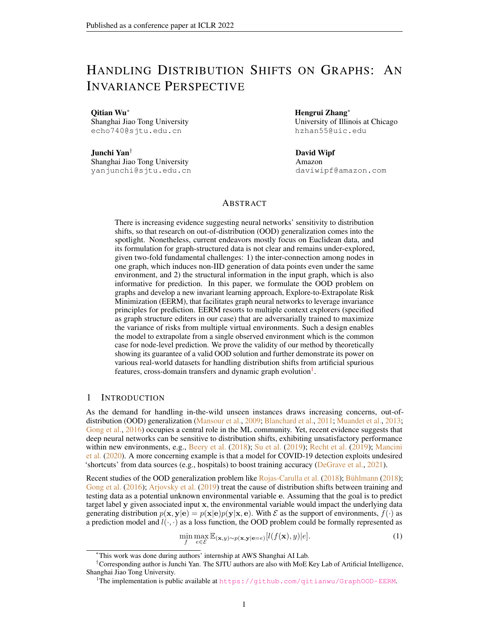Figure 14: Distribution of test accuracy results Polmoto with arti cial distribution shifts generated by SGC as the GNN generator.

Figure 15: Distribution of test accuracy results Rolmoto with arti cial distribution shifts generated by GAT as the GNN generator.